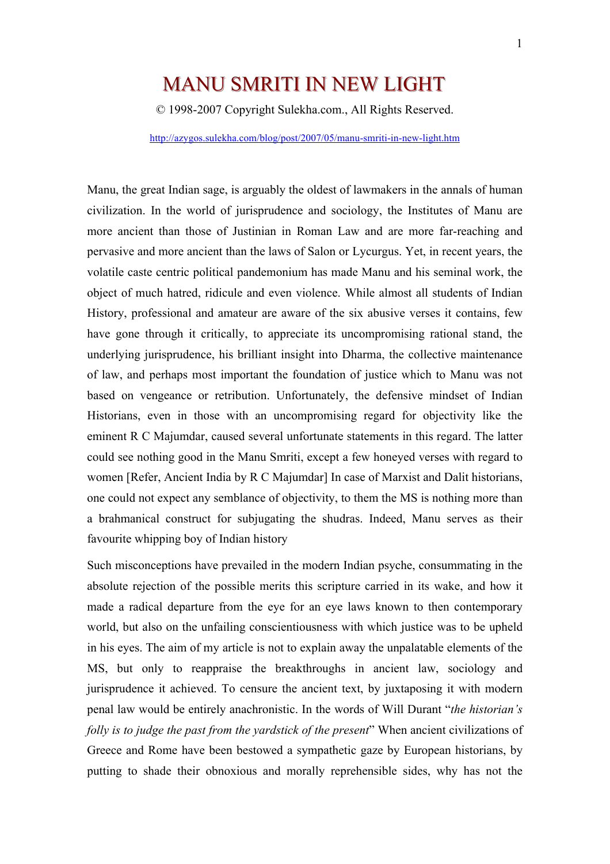# MANU SMRITI IN NEW LIGHT

© 1998-2007 Copyright Sulekha.com., All Rights Reserved.

http://azygos.sulekha.com/blog/post/2007/05/manu-smriti-in-new-light.htm

Manu, the great Indian sage, is arguably the oldest of lawmakers in the annals of human civilization. In the world of jurisprudence and sociology, the Institutes of Manu are more ancient than those of Justinian in Roman Law and are more far-reaching and pervasive and more ancient than the laws of Salon or Lycurgus. Yet, in recent years, the volatile caste centric political pandemonium has made Manu and his seminal work, the object of much hatred, ridicule and even violence. While almost all students of Indian History, professional and amateur are aware of the six abusive verses it contains, few have gone through it critically, to appreciate its uncompromising rational stand, the underlying jurisprudence, his brilliant insight into Dharma, the collective maintenance of law, and perhaps most important the foundation of justice which to Manu was not based on vengeance or retribution. Unfortunately, the defensive mindset of Indian Historians, even in those with an uncompromising regard for objectivity like the eminent R C Majumdar, caused several unfortunate statements in this regard. The latter could see nothing good in the Manu Smriti, except a few honeyed verses with regard to women [Refer, Ancient India by R C Majumdar] In case of Marxist and Dalit historians, one could not expect any semblance of objectivity, to them the MS is nothing more than a brahmanical construct for subjugating the shudras. Indeed, Manu serves as their favourite whipping boy of Indian history

Such misconceptions have prevailed in the modern Indian psyche, consummating in the absolute rejection of the possible merits this scripture carried in its wake, and how it made a radical departure from the eye for an eye laws known to then contemporary world, but also on the unfailing conscientiousness with which justice was to be upheld in his eyes. The aim of my article is not to explain away the unpalatable elements of the MS, but only to reappraise the breakthroughs in ancient law, sociology and jurisprudence it achieved. To censure the ancient text, by juxtaposing it with modern penal law would be entirely anachronistic. In the words of Will Durant "*the historian's folly is to judge the past from the vardstick of the present*" When ancient civilizations of Greece and Rome have been bestowed a sympathetic gaze by European historians, by putting to shade their obnoxious and morally reprehensible sides, why has not the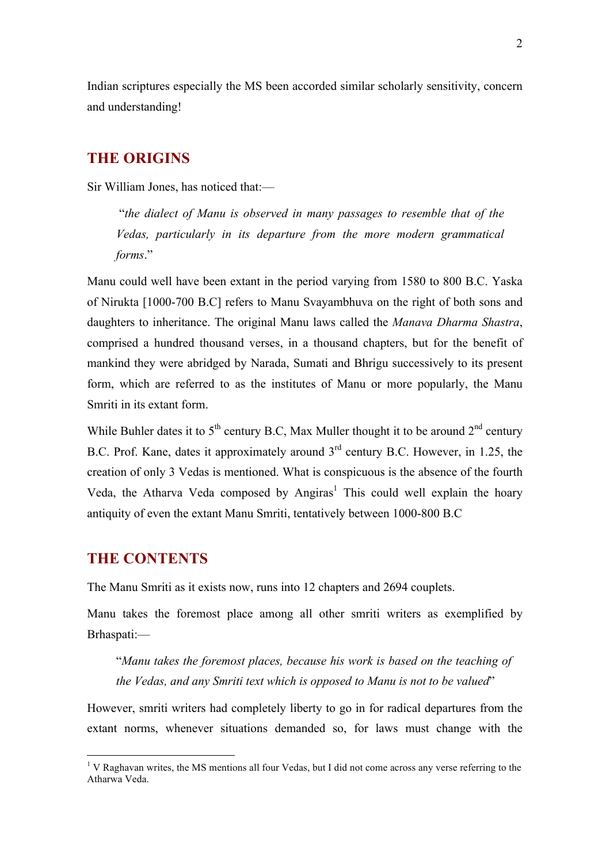Indian scriptures especially the MS been accorded similar scholarly sensitivity, concern and understanding!

# **THE ORIGINS**

Sir William Jones, has noticed that:—

 "*the dialect of Manu is observed in many passages to resemble that of the Vedas, particularly in its departure from the more modern grammatical forms*."

Manu could well have been extant in the period varying from 1580 to 800 B.C. Yaska of Nirukta [1000-700 B.C] refers to Manu Svayambhuva on the right of both sons and daughters to inheritance. The original Manu laws called the *Manava Dharma Shastra*, comprised a hundred thousand verses, in a thousand chapters, but for the benefit of mankind they were abridged by Narada, Sumati and Bhrigu successively to its present form, which are referred to as the institutes of Manu or more popularly, the Manu Smriti in its extant form.

While Buhler dates it to  $5<sup>th</sup>$  century B.C, Max Muller thought it to be around  $2<sup>nd</sup>$  century B.C. Prof. Kane, dates it approximately around 3rd century B.C. However, in 1.25, the creation of only 3 Vedas is mentioned. What is conspicuous is the absence of the fourth Veda, the Atharva Veda composed by Angiras<sup>1</sup> This could well explain the hoary antiquity of even the extant Manu Smriti, tentatively between 1000-800 B.C

# **THE CONTENTS**

The Manu Smriti as it exists now, runs into 12 chapters and 2694 couplets.

Manu takes the foremost place among all other smriti writers as exemplified by Brhaspati:—

"*Manu takes the foremost places, because his work is based on the teaching of the Vedas, and any Smriti text which is opposed to Manu is not to be valued*"

However, smriti writers had completely liberty to go in for radical departures from the extant norms, whenever situations demanded so, for laws must change with the

<sup>&</sup>lt;sup>1</sup> V Raghavan writes, the MS mentions all four Vedas, but I did not come across any verse referring to the Atharwa Veda.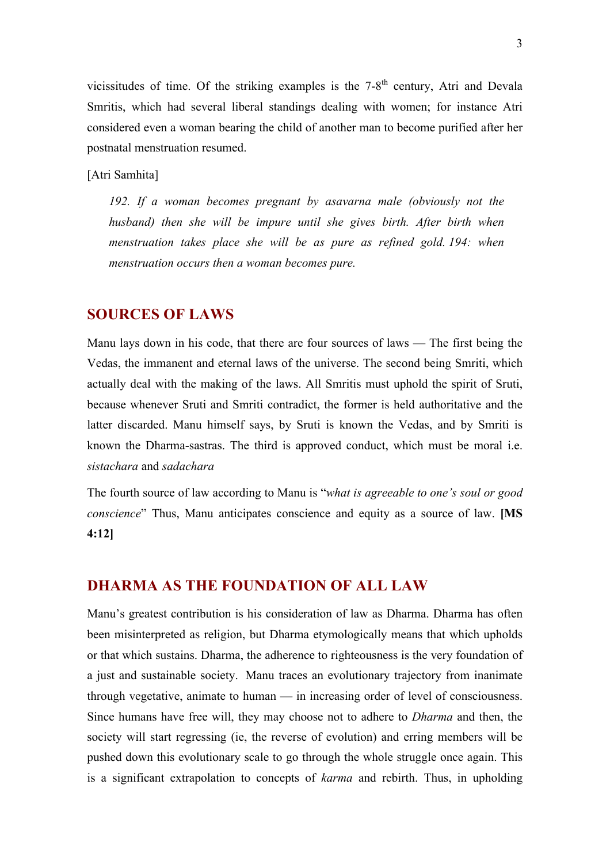vicissitudes of time. Of the striking examples is the  $7-8<sup>th</sup>$  century. Atri and Devala Smritis, which had several liberal standings dealing with women; for instance Atri considered even a woman bearing the child of another man to become purified after her postnatal menstruation resumed.

[Atri Samhita]

*192. If a woman becomes pregnant by asavarna male (obviously not the husband*) then she will be impure until she gives birth. After birth when *menstruation takes place she will be as pure as refined gold. 194: when menstruation occurs then a woman becomes pure.*

# **SOURCES OF LAWS**

Manu lays down in his code, that there are four sources of laws — The first being the Vedas, the immanent and eternal laws of the universe. The second being Smriti, which actually deal with the making of the laws. All Smritis must uphold the spirit of Sruti, because whenever Sruti and Smriti contradict, the former is held authoritative and the latter discarded. Manu himself says, by Sruti is known the Vedas, and by Smriti is known the Dharma-sastras. The third is approved conduct, which must be moral i.e. *sistachara* and *sadachara*

The fourth source of law according to Manu is "*what is agreeable to one's soul or good conscience*" Thus, Manu anticipates conscience and equity as a source of law. **[MS 4:12]**

# **DHARMA AS THE FOUNDATION OF ALL LAW**

Manu's greatest contribution is his consideration of law as Dharma. Dharma has often been misinterpreted as religion, but Dharma etymologically means that which upholds or that which sustains. Dharma, the adherence to righteousness is the very foundation of a just and sustainable society. Manu traces an evolutionary trajectory from inanimate through vegetative, animate to human — in increasing order of level of consciousness. Since humans have free will, they may choose not to adhere to *Dharma* and then, the society will start regressing (ie, the reverse of evolution) and erring members will be pushed down this evolutionary scale to go through the whole struggle once again. This is a significant extrapolation to concepts of *karma* and rebirth. Thus, in upholding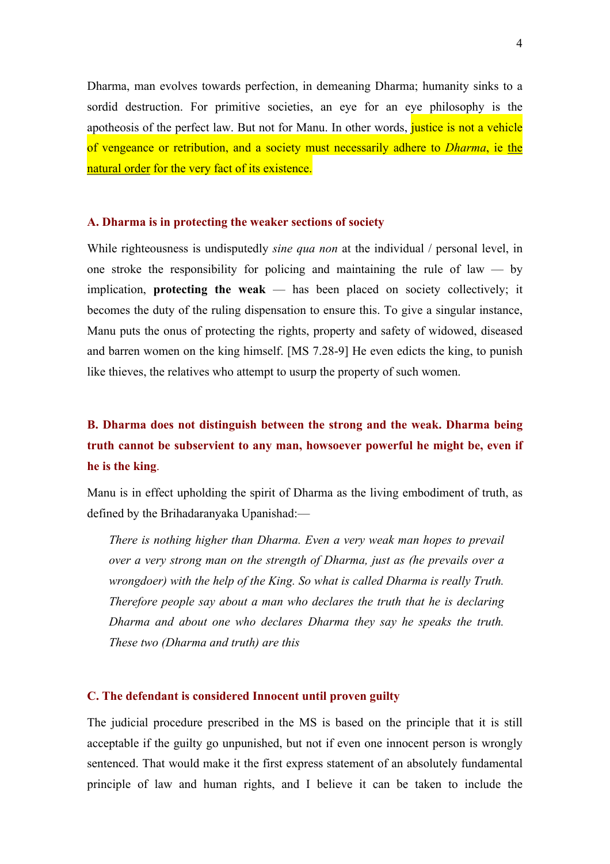Dharma, man evolves towards perfection, in demeaning Dharma; humanity sinks to a sordid destruction. For primitive societies, an eye for an eye philosophy is the apotheosis of the perfect law. But not for Manu. In other words, justice is not a vehicle of vengeance or retribution, and a society must necessarily adhere to *Dharma*, ie the natural order for the very fact of its existence.

#### **A. Dharma is in protecting the weaker sections of society**

While righteousness is undisputedly *sine qua non* at the individual / personal level, in one stroke the responsibility for policing and maintaining the rule of law  $-$  by implication, **protecting the weak** — has been placed on society collectively; it becomes the duty of the ruling dispensation to ensure this. To give a singular instance, Manu puts the onus of protecting the rights, property and safety of widowed, diseased and barren women on the king himself. [MS 7.28-9] He even edicts the king, to punish like thieves, the relatives who attempt to usurp the property of such women.

# **B. Dharma does not distinguish between the strong and the weak. Dharma being truth cannot be subservient to any man, howsoever powerful he might be, even if he is the king**.

Manu is in effect upholding the spirit of Dharma as the living embodiment of truth, as defined by the Brihadaranyaka Upanishad:—

*There is nothing higher than Dharma. Even a very weak man hopes to prevail over a very strong man on the strength of Dharma, just as (he prevails over a wrongdoer) with the help of the King. So what is called Dharma is really Truth. Therefore people say about a man who declares the truth that he is declaring Dharma and about one who declares Dharma they say he speaks the truth. These two (Dharma and truth) are this*

#### **C. The defendant is considered Innocent until proven guilty**

The judicial procedure prescribed in the MS is based on the principle that it is still acceptable if the guilty go unpunished, but not if even one innocent person is wrongly sentenced. That would make it the first express statement of an absolutely fundamental principle of law and human rights, and I believe it can be taken to include the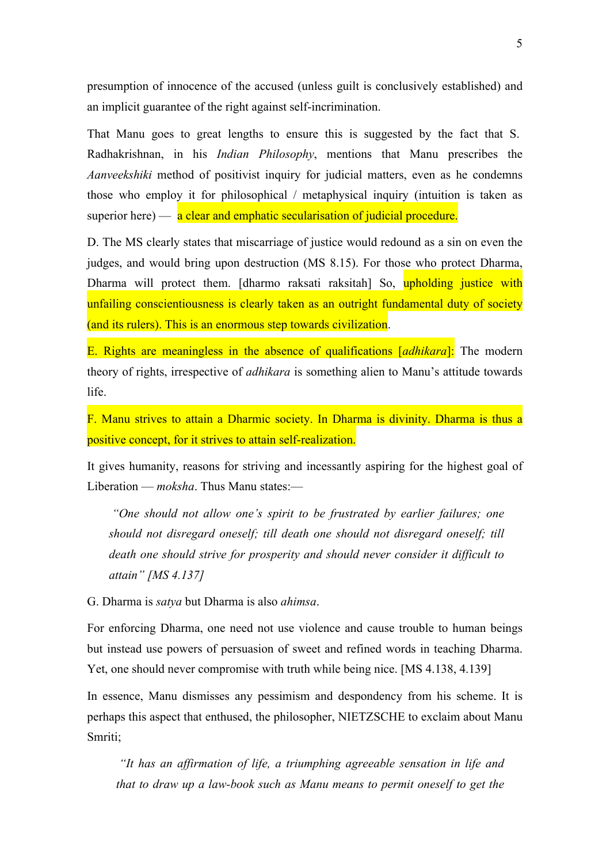presumption of innocence of the accused (unless guilt is conclusively established) and an implicit guarantee of the right against self-incrimination.

That Manu goes to great lengths to ensure this is suggested by the fact that S. Radhakrishnan, in his *Indian Philosophy*, mentions that Manu prescribes the *Aanveekshiki* method of positivist inquiry for judicial matters, even as he condemns those who employ it for philosophical / metaphysical inquiry (intuition is taken as superior here) —  $\alpha$  clear and emphatic secularisation of judicial procedure.

D. The MS clearly states that miscarriage of justice would redound as a sin on even the judges, and would bring upon destruction (MS 8.15). For those who protect Dharma, Dharma will protect them. [dharmo raksati raksitah] So, upholding justice with unfailing conscientiousness is clearly taken as an outright fundamental duty of society (and its rulers). This is an enormous step towards civilization.

E. Rights are meaningless in the absence of qualifications [*adhikara*]: The modern theory of rights, irrespective of *adhikara* is something alien to Manu's attitude towards life.

F. Manu strives to attain a Dharmic society. In Dharma is divinity. Dharma is thus a positive concept, for it strives to attain self-realization.

It gives humanity, reasons for striving and incessantly aspiring for the highest goal of Liberation — *moksha*. Thus Manu states:—

 *"One should not allow one's spirit to be frustrated by earlier failures; one should not disregard oneself; till death one should not disregard oneself; till death one should strive for prosperity and should never consider it difficult to attain" [MS 4.137]*

G. Dharma is *satya* but Dharma is also *ahimsa*.

For enforcing Dharma, one need not use violence and cause trouble to human beings but instead use powers of persuasion of sweet and refined words in teaching Dharma. Yet, one should never compromise with truth while being nice. [MS 4.138, 4.139]

In essence, Manu dismisses any pessimism and despondency from his scheme. It is perhaps this aspect that enthused, the philosopher, NIETZSCHE to exclaim about Manu Smriti;

*"It has an affirmation of life, a triumphing agreeable sensation in life and that to draw up a law-book such as Manu means to permit oneself to get the*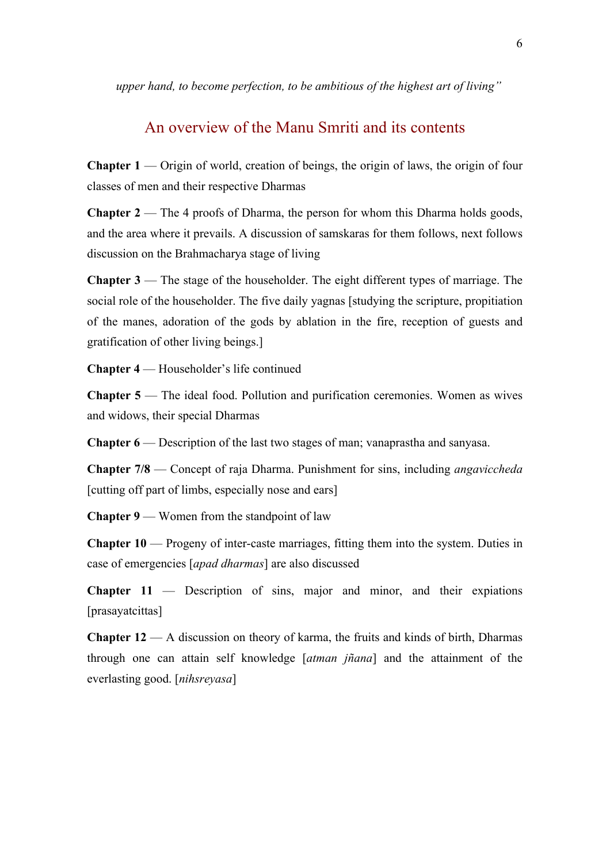*upper hand, to become perfection, to be ambitious of the highest art of living"*

# An overview of the Manu Smriti and its contents

**Chapter 1** — Origin of world, creation of beings, the origin of laws, the origin of four classes of men and their respective Dharmas

**Chapter 2** — The 4 proofs of Dharma, the person for whom this Dharma holds goods, and the area where it prevails. A discussion of samskaras for them follows, next follows discussion on the Brahmacharya stage of living

**Chapter 3** — The stage of the householder. The eight different types of marriage. The social role of the householder. The five daily yagnas [studying the scripture, propitiation of the manes, adoration of the gods by ablation in the fire, reception of guests and gratification of other living beings.]

**Chapter 4** — Householder's life continued

**Chapter 5** — The ideal food. Pollution and purification ceremonies. Women as wives and widows, their special Dharmas

**Chapter 6** — Description of the last two stages of man; vanaprastha and sanyasa.

**Chapter 7/8** — Concept of raja Dharma. Punishment for sins, including *angaviccheda* [cutting off part of limbs, especially nose and ears]

**Chapter 9** — Women from the standpoint of law

**Chapter 10** — Progeny of inter-caste marriages, fitting them into the system. Duties in case of emergencies [*apad dharmas*] are also discussed

**Chapter 11** — Description of sins, major and minor, and their expiations [prasayatcittas]

**Chapter 12** — A discussion on theory of karma, the fruits and kinds of birth, Dharmas through one can attain self knowledge [*atman jñana*] and the attainment of the everlasting good. [*nihsreyasa*]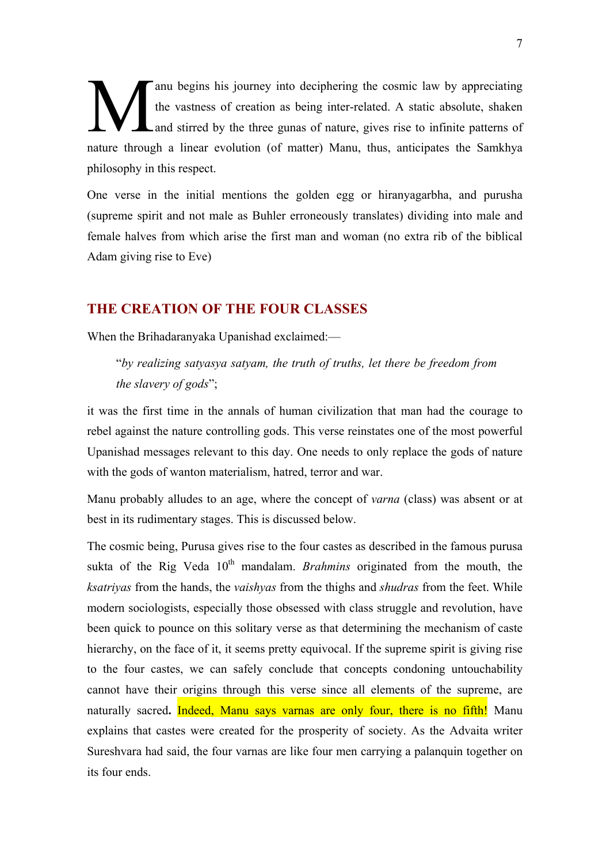anu begins his journey into deciphering the cosmic law by appreciating the vastness of creation as being inter-related. A static absolute, shaken Land stirred by the three gunas of nature, gives rise to infinite patterns of nature through a linear evolution (of matter) Manu, thus, anticipates the Samkhya philosophy in this respect. M

One verse in the initial mentions the golden egg or hiranyagarbha, and purusha (supreme spirit and not male as Buhler erroneously translates) dividing into male and female halves from which arise the first man and woman (no extra rib of the biblical Adam giving rise to Eve)

# **THE CREATION OF THE FOUR CLASSES**

When the Brihadaranyaka Upanishad exclaimed:—

"*by realizing satyasya satyam, the truth of truths, let there be freedom from the slavery of gods*";

it was the first time in the annals of human civilization that man had the courage to rebel against the nature controlling gods. This verse reinstates one of the most powerful Upanishad messages relevant to this day. One needs to only replace the gods of nature with the gods of wanton materialism, hatred, terror and war.

Manu probably alludes to an age, where the concept of *varna* (class) was absent or at best in its rudimentary stages. This is discussed below.

The cosmic being, Purusa gives rise to the four castes as described in the famous purusa sukta of the Rig Veda  $10<sup>th</sup>$  mandalam. *Brahmins* originated from the mouth, the *ksatriyas* from the hands, the *vaishyas* from the thighs and *shudras* from the feet. While modern sociologists, especially those obsessed with class struggle and revolution, have been quick to pounce on this solitary verse as that determining the mechanism of caste hierarchy, on the face of it, it seems pretty equivocal. If the supreme spirit is giving rise to the four castes, we can safely conclude that concepts condoning untouchability cannot have their origins through this verse since all elements of the supreme, are naturally sacred**.** Indeed, Manu says varnas are only four, there is no fifth! Manu explains that castes were created for the prosperity of society. As the Advaita writer Sureshvara had said, the four varnas are like four men carrying a palanquin together on its four ends.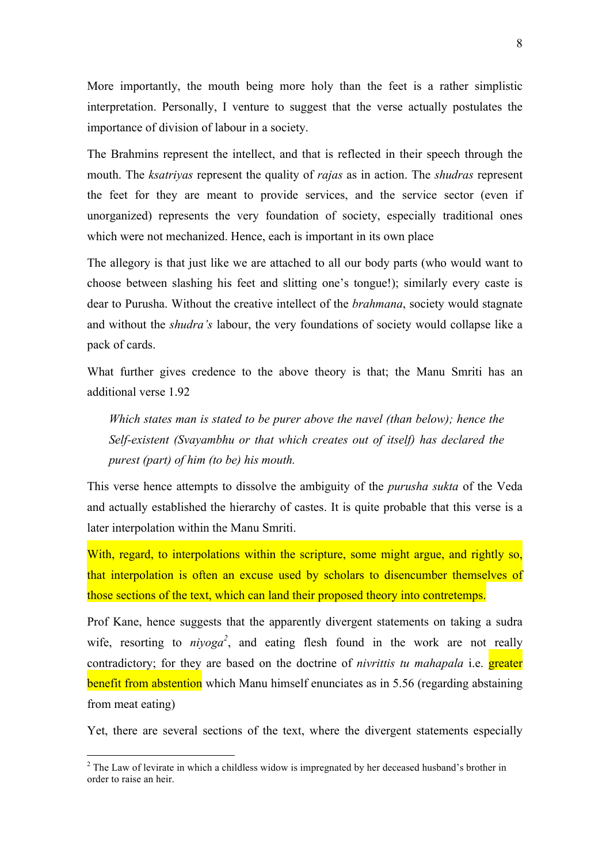More importantly, the mouth being more holy than the feet is a rather simplistic interpretation. Personally, I venture to suggest that the verse actually postulates the importance of division of labour in a society.

The Brahmins represent the intellect, and that is reflected in their speech through the mouth. The *ksatriyas* represent the quality of *rajas* as in action. The *shudras* represent the feet for they are meant to provide services, and the service sector (even if unorganized) represents the very foundation of society, especially traditional ones which were not mechanized. Hence, each is important in its own place

The allegory is that just like we are attached to all our body parts (who would want to choose between slashing his feet and slitting one's tongue!); similarly every caste is dear to Purusha. Without the creative intellect of the *brahmana*, society would stagnate and without the *shudra's* labour, the very foundations of society would collapse like a pack of cards.

What further gives credence to the above theory is that; the Manu Smriti has an additional verse 1.92

*Which states man is stated to be purer above the navel (than below); hence the Self-existent (Svayambhu or that which creates out of itself) has declared the purest (part) of him (to be) his mouth.*

This verse hence attempts to dissolve the ambiguity of the *purusha sukta* of the Veda and actually established the hierarchy of castes. It is quite probable that this verse is a later interpolation within the Manu Smriti.

With, regard, to interpolations within the scripture, some might argue, and rightly so, that interpolation is often an excuse used by scholars to disencumber themselves of those sections of the text, which can land their proposed theory into contretemps.

Prof Kane, hence suggests that the apparently divergent statements on taking a sudra wife, resorting to  $niyoga^2$ , and eating flesh found in the work are not really contradictory; for they are based on the doctrine of *nivrittis tu mahapala* i.e. greater benefit from abstention which Manu himself enunciates as in 5.56 (regarding abstaining from meat eating)

Yet, there are several sections of the text, where the divergent statements especially

 $\frac{1}{2}$ <sup>2</sup> The Law of levirate in which a childless widow is impregnated by her deceased husband's brother in order to raise an heir.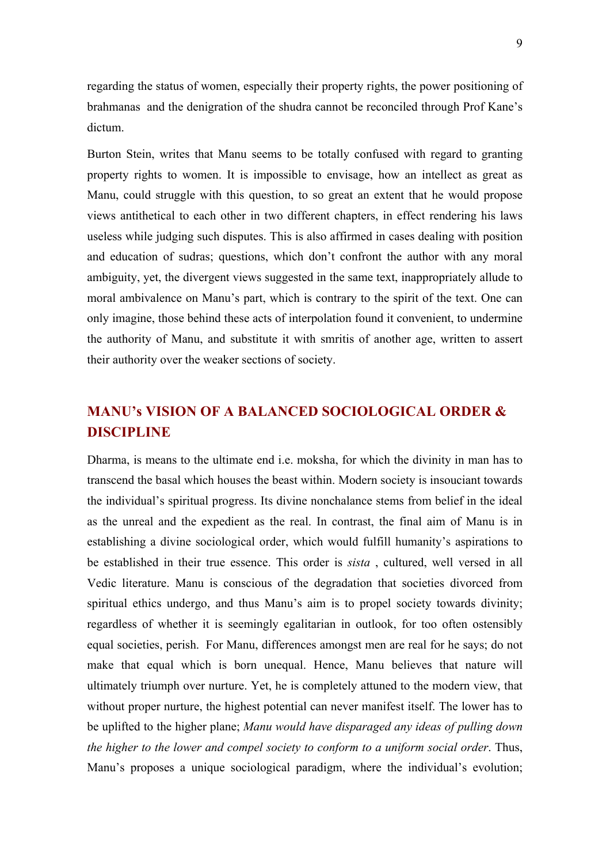regarding the status of women, especially their property rights, the power positioning of brahmanas and the denigration of the shudra cannot be reconciled through Prof Kane's dictum.

Burton Stein, writes that Manu seems to be totally confused with regard to granting property rights to women. It is impossible to envisage, how an intellect as great as Manu, could struggle with this question, to so great an extent that he would propose views antithetical to each other in two different chapters, in effect rendering his laws useless while judging such disputes. This is also affirmed in cases dealing with position and education of sudras; questions, which don't confront the author with any moral ambiguity, yet, the divergent views suggested in the same text, inappropriately allude to moral ambivalence on Manu's part, which is contrary to the spirit of the text. One can only imagine, those behind these acts of interpolation found it convenient, to undermine the authority of Manu, and substitute it with smritis of another age, written to assert their authority over the weaker sections of society.

# **MANU's VISION OF A BALANCED SOCIOLOGICAL ORDER & DISCIPLINE**

Dharma, is means to the ultimate end i.e. moksha, for which the divinity in man has to transcend the basal which houses the beast within. Modern society is insouciant towards the individual's spiritual progress. Its divine nonchalance stems from belief in the ideal as the unreal and the expedient as the real. In contrast, the final aim of Manu is in establishing a divine sociological order, which would fulfill humanity's aspirations to be established in their true essence. This order is *sista* , cultured, well versed in all Vedic literature. Manu is conscious of the degradation that societies divorced from spiritual ethics undergo, and thus Manu's aim is to propel society towards divinity; regardless of whether it is seemingly egalitarian in outlook, for too often ostensibly equal societies, perish. For Manu, differences amongst men are real for he says; do not make that equal which is born unequal. Hence, Manu believes that nature will ultimately triumph over nurture. Yet, he is completely attuned to the modern view, that without proper nurture, the highest potential can never manifest itself. The lower has to be uplifted to the higher plane; *Manu would have disparaged any ideas of pulling down the higher to the lower and compel society to conform to a uniform social order*. Thus, Manu's proposes a unique sociological paradigm, where the individual's evolution;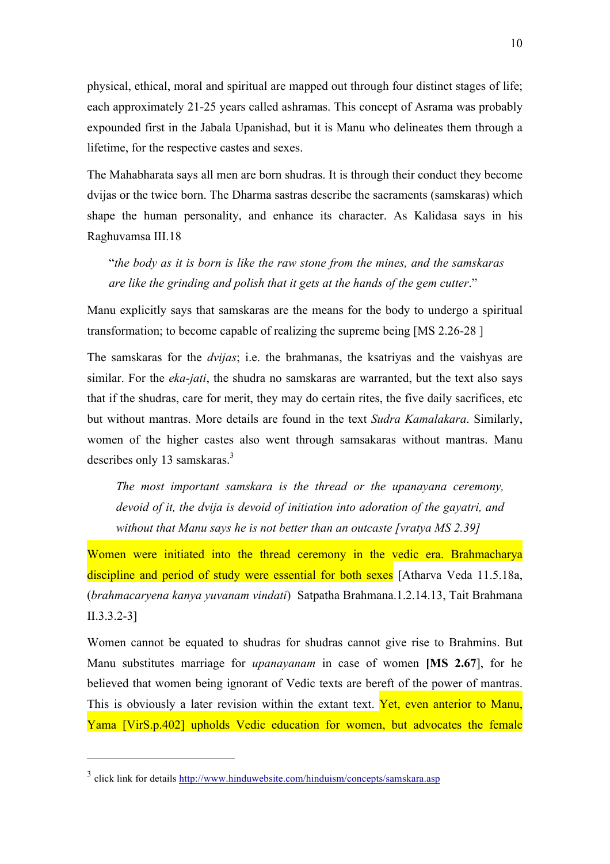physical, ethical, moral and spiritual are mapped out through four distinct stages of life; each approximately 21-25 years called ashramas. This concept of Asrama was probably expounded first in the Jabala Upanishad, but it is Manu who delineates them through a lifetime, for the respective castes and sexes.

The Mahabharata says all men are born shudras. It is through their conduct they become dvijas or the twice born. The Dharma sastras describe the sacraments (samskaras) which shape the human personality, and enhance its character. As Kalidasa says in his Raghuvamsa III.18

"*the body as it is born is like the raw stone from the mines, and the samskaras are like the grinding and polish that it gets at the hands of the gem cutter*."

Manu explicitly says that samskaras are the means for the body to undergo a spiritual transformation; to become capable of realizing the supreme being [MS 2.26-28 ]

The samskaras for the *dvijas*; i.e. the brahmanas, the ksatriyas and the vaishyas are similar. For the *eka-jati*, the shudra no samskaras are warranted, but the text also says that if the shudras, care for merit, they may do certain rites, the five daily sacrifices, etc but without mantras. More details are found in the text *Sudra Kamalakara*. Similarly, women of the higher castes also went through samsakaras without mantras. Manu describes only 13 samskaras.<sup>3</sup>

*The most important samskara is the thread or the upanayana ceremony, devoid of it, the dvija is devoid of initiation into adoration of the gayatri, and without that Manu says he is not better than an outcaste [vratya MS 2.39]*

Women were initiated into the thread ceremony in the vedic era. Brahmacharya discipline and period of study were essential for both sexes [Atharva Veda 11.5.18a, (*brahmacaryena kanya yuvanam vindati*) Satpatha Brahmana.1.2.14.13, Tait Brahmana II.3.3.2-3]

Women cannot be equated to shudras for shudras cannot give rise to Brahmins. But Manu substitutes marriage for *upanayanam* in case of women **[MS 2.67**], for he believed that women being ignorant of Vedic texts are bereft of the power of mantras. This is obviously a later revision within the extant text. Yet, even anterior to Manu, Yama [VirS.p.402] upholds Vedic education for women, but advocates the female

 $\overline{a}$ 

<sup>&</sup>lt;sup>3</sup> click link for details http://www.hinduwebsite.com/hinduism/concepts/samskara.asp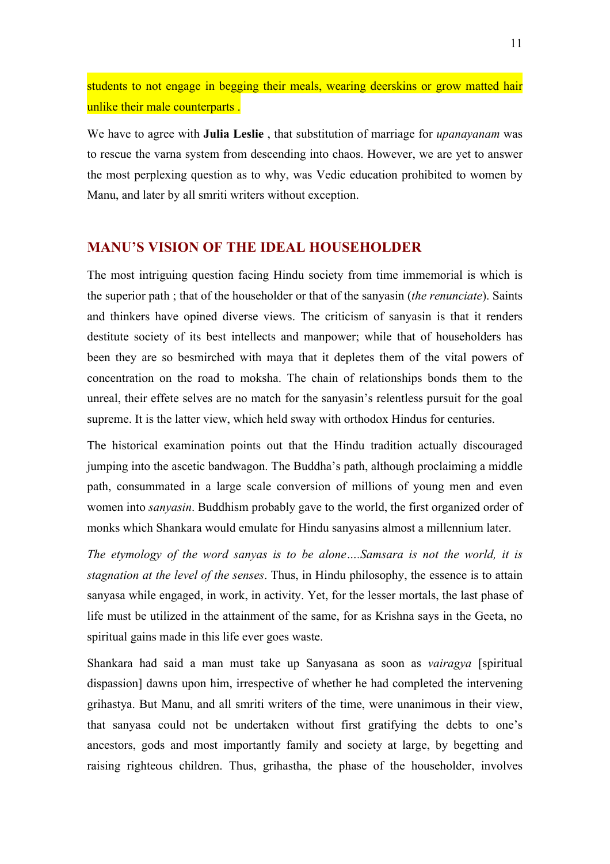students to not engage in begging their meals, wearing deerskins or grow matted hair unlike their male counterparts.

We have to agree with **Julia Leslie** , that substitution of marriage for *upanayanam* was to rescue the varna system from descending into chaos. However, we are yet to answer the most perplexing question as to why, was Vedic education prohibited to women by Manu, and later by all smriti writers without exception.

# **MANU'S VISION OF THE IDEAL HOUSEHOLDER**

The most intriguing question facing Hindu society from time immemorial is which is the superior path ; that of the householder or that of the sanyasin (*the renunciate*). Saints and thinkers have opined diverse views. The criticism of sanyasin is that it renders destitute society of its best intellects and manpower; while that of householders has been they are so besmirched with maya that it depletes them of the vital powers of concentration on the road to moksha. The chain of relationships bonds them to the unreal, their effete selves are no match for the sanyasin's relentless pursuit for the goal supreme. It is the latter view, which held sway with orthodox Hindus for centuries.

The historical examination points out that the Hindu tradition actually discouraged jumping into the ascetic bandwagon. The Buddha's path, although proclaiming a middle path, consummated in a large scale conversion of millions of young men and even women into *sanyasin*. Buddhism probably gave to the world, the first organized order of monks which Shankara would emulate for Hindu sanyasins almost a millennium later.

*The etymology of the word sanyas is to be alone….Samsara is not the world, it is stagnation at the level of the senses*. Thus, in Hindu philosophy, the essence is to attain sanyasa while engaged, in work, in activity. Yet, for the lesser mortals, the last phase of life must be utilized in the attainment of the same, for as Krishna says in the Geeta, no spiritual gains made in this life ever goes waste.

Shankara had said a man must take up Sanyasana as soon as *vairagya* [spiritual dispassion] dawns upon him, irrespective of whether he had completed the intervening grihastya. But Manu, and all smriti writers of the time, were unanimous in their view, that sanyasa could not be undertaken without first gratifying the debts to one's ancestors, gods and most importantly family and society at large, by begetting and raising righteous children. Thus, grihastha, the phase of the householder, involves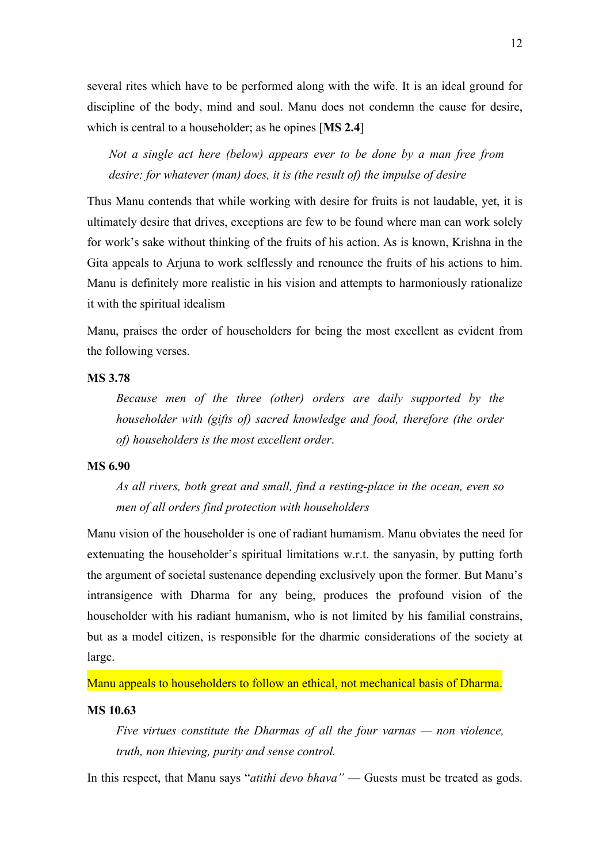several rites which have to be performed along with the wife. It is an ideal ground for discipline of the body, mind and soul. Manu does not condemn the cause for desire, which is central to a householder; as he opines [**MS 2.4**]

*Not a single act here (below) appears ever to be done by a man free from desire; for whatever (man) does, it is (the result of) the impulse of desire*

Thus Manu contends that while working with desire for fruits is not laudable, yet, it is ultimately desire that drives, exceptions are few to be found where man can work solely for work's sake without thinking of the fruits of his action. As is known, Krishna in the Gita appeals to Arjuna to work selflessly and renounce the fruits of his actions to him. Manu is definitely more realistic in his vision and attempts to harmoniously rationalize it with the spiritual idealism

Manu, praises the order of householders for being the most excellent as evident from the following verses.

## **MS 3.78**

*Because men of the three (other) orders are daily supported by the householder with (gifts of) sacred knowledge and food, therefore (the order of) householders is the most excellent order*.

#### **MS 6.90**

*As all rivers, both great and small, find a resting-place in the ocean, even so men of all orders find protection with householders*

Manu vision of the householder is one of radiant humanism. Manu obviates the need for extenuating the householder's spiritual limitations w.r.t. the sanyasin, by putting forth the argument of societal sustenance depending exclusively upon the former. But Manu's intransigence with Dharma for any being, produces the profound vision of the householder with his radiant humanism, who is not limited by his familial constrains, but as a model citizen, is responsible for the dharmic considerations of the society at large.

Manu appeals to householders to follow an ethical, not mechanical basis of Dharma.

#### **MS 10.63**

*Five virtues constitute the Dharmas of all the four varnas — non violence, truth, non thieving, purity and sense control.*

In this respect, that Manu says "*atithi devo bhava"* — Guests must be treated as gods.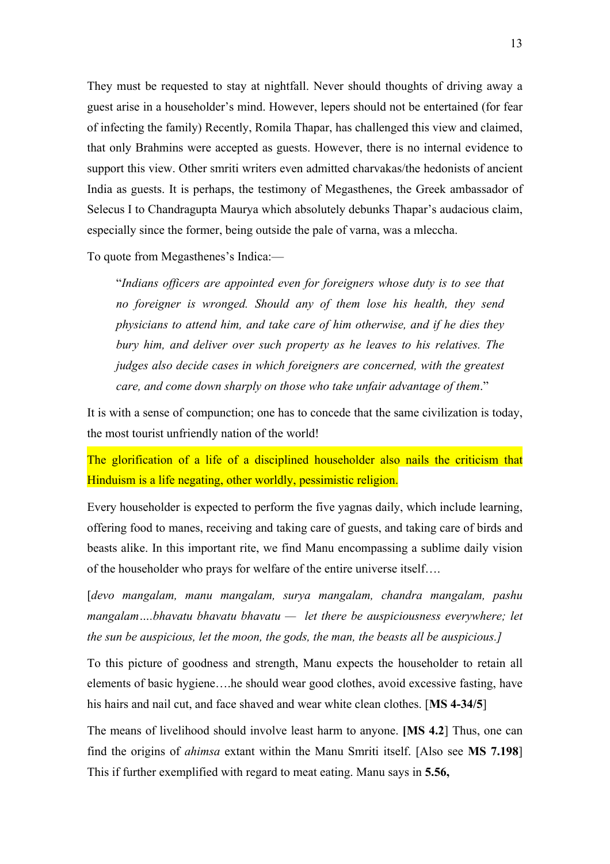They must be requested to stay at nightfall. Never should thoughts of driving away a guest arise in a householder's mind. However, lepers should not be entertained (for fear of infecting the family) Recently, Romila Thapar, has challenged this view and claimed, that only Brahmins were accepted as guests. However, there is no internal evidence to support this view. Other smriti writers even admitted charvakas/the hedonists of ancient India as guests. It is perhaps, the testimony of Megasthenes, the Greek ambassador of Selecus I to Chandragupta Maurya which absolutely debunks Thapar's audacious claim, especially since the former, being outside the pale of varna, was a mleccha.

To quote from Megasthenes's Indica:—

"*Indians officers are appointed even for foreigners whose duty is to see that no foreigner is wronged. Should any of them lose his health, they send physicians to attend him, and take care of him otherwise, and if he dies they bury him, and deliver over such property as he leaves to his relatives. The judges also decide cases in which foreigners are concerned, with the greatest care, and come down sharply on those who take unfair advantage of them*."

It is with a sense of compunction; one has to concede that the same civilization is today, the most tourist unfriendly nation of the world!

The glorification of a life of a disciplined householder also nails the criticism that Hinduism is a life negating, other worldly, pessimistic religion.

Every householder is expected to perform the five yagnas daily, which include learning, offering food to manes, receiving and taking care of guests, and taking care of birds and beasts alike. In this important rite, we find Manu encompassing a sublime daily vision of the householder who prays for welfare of the entire universe itself….

[*devo mangalam, manu mangalam, surya mangalam, chandra mangalam, pashu mangalam….bhavatu bhavatu bhavatu — let there be auspiciousness everywhere; let the sun be auspicious, let the moon, the gods, the man, the beasts all be auspicious.]*

To this picture of goodness and strength, Manu expects the householder to retain all elements of basic hygiene….he should wear good clothes, avoid excessive fasting, have his hairs and nail cut, and face shaved and wear white clean clothes. [**MS 4-34/5**]

The means of livelihood should involve least harm to anyone. **[MS 4.2**] Thus, one can find the origins of *ahimsa* extant within the Manu Smriti itself. [Also see **MS 7.198**] This if further exemplified with regard to meat eating. Manu says in **5.56,**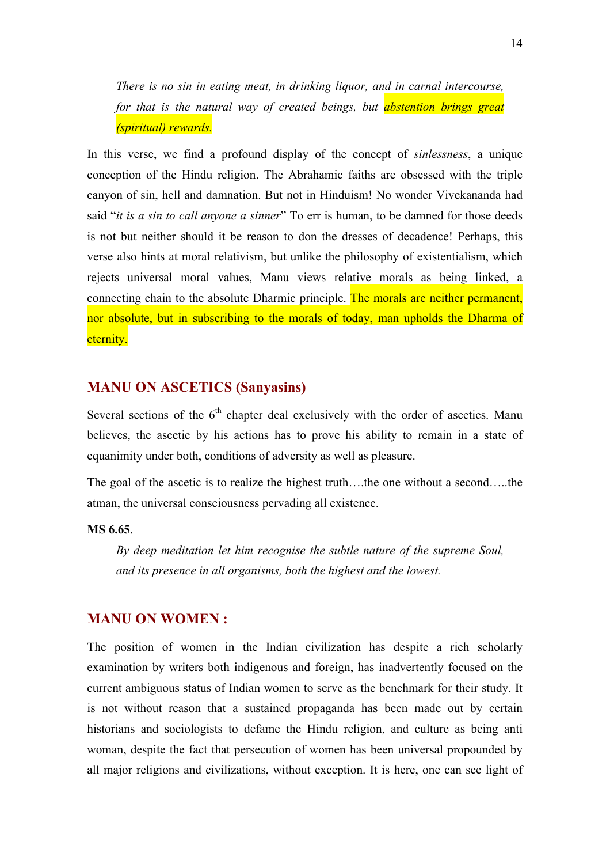*There is no sin in eating meat, in drinking liquor, and in carnal intercourse, for that is the natural way of created beings, but abstention brings great (spiritual) rewards.*

In this verse, we find a profound display of the concept of *sinlessness*, a unique conception of the Hindu religion. The Abrahamic faiths are obsessed with the triple canyon of sin, hell and damnation. But not in Hinduism! No wonder Vivekananda had said "*it is a sin to call anyone a sinner*" To err is human, to be damned for those deeds is not but neither should it be reason to don the dresses of decadence! Perhaps, this verse also hints at moral relativism, but unlike the philosophy of existentialism, which rejects universal moral values, Manu views relative morals as being linked, a connecting chain to the absolute Dharmic principle. The morals are neither permanent, nor absolute, but in subscribing to the morals of today, man upholds the Dharma of eternity.

# **MANU ON ASCETICS (Sanyasins)**

Several sections of the  $6<sup>th</sup>$  chapter deal exclusively with the order of ascetics. Manu believes, the ascetic by his actions has to prove his ability to remain in a state of equanimity under both, conditions of adversity as well as pleasure.

The goal of the ascetic is to realize the highest truth….the one without a second…..the atman, the universal consciousness pervading all existence.

#### **MS 6.65**.

*By deep meditation let him recognise the subtle nature of the supreme Soul, and its presence in all organisms, both the highest and the lowest.*

#### **MANU ON WOMEN :**

The position of women in the Indian civilization has despite a rich scholarly examination by writers both indigenous and foreign, has inadvertently focused on the current ambiguous status of Indian women to serve as the benchmark for their study. It is not without reason that a sustained propaganda has been made out by certain historians and sociologists to defame the Hindu religion, and culture as being anti woman, despite the fact that persecution of women has been universal propounded by all major religions and civilizations, without exception. It is here, one can see light of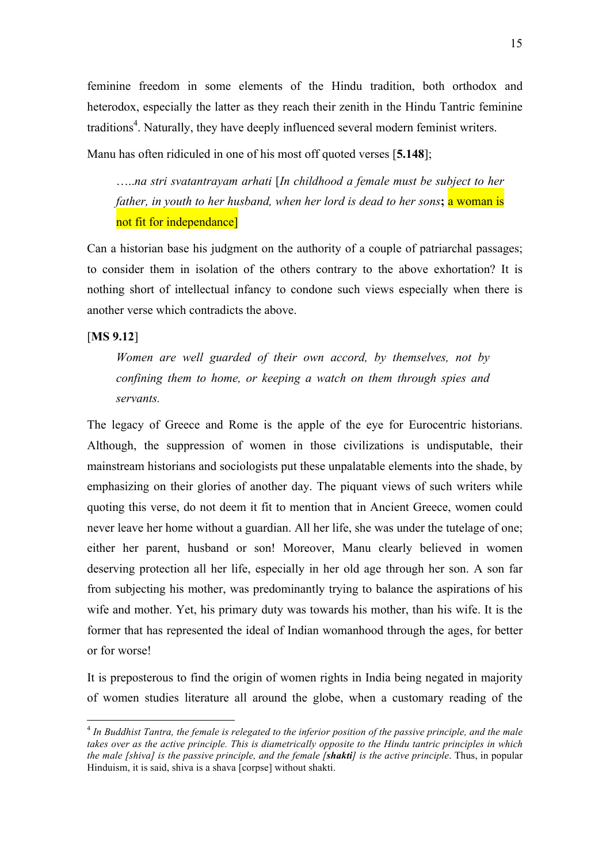feminine freedom in some elements of the Hindu tradition, both orthodox and heterodox, especially the latter as they reach their zenith in the Hindu Tantric feminine traditions<sup>4</sup>. Naturally, they have deeply influenced several modern feminist writers.

Manu has often ridiculed in one of his most off quoted verses [**5.148**];

…..*na stri svatantrayam arhati* [*In childhood a female must be subject to her father, in youth to her husband, when her lord is dead to her sons***;** a woman is not fit for independance]

Can a historian base his judgment on the authority of a couple of patriarchal passages; to consider them in isolation of the others contrary to the above exhortation? It is nothing short of intellectual infancy to condone such views especially when there is another verse which contradicts the above.

#### [**MS 9.12**]

*Women are well guarded of their own accord, by themselves, not by confining them to home, or keeping a watch on them through spies and servants.*

The legacy of Greece and Rome is the apple of the eye for Eurocentric historians. Although, the suppression of women in those civilizations is undisputable, their mainstream historians and sociologists put these unpalatable elements into the shade, by emphasizing on their glories of another day. The piquant views of such writers while quoting this verse, do not deem it fit to mention that in Ancient Greece, women could never leave her home without a guardian. All her life, she was under the tutelage of one; either her parent, husband or son! Moreover, Manu clearly believed in women deserving protection all her life, especially in her old age through her son. A son far from subjecting his mother, was predominantly trying to balance the aspirations of his wife and mother. Yet, his primary duty was towards his mother, than his wife. It is the former that has represented the ideal of Indian womanhood through the ages, for better or for worse!

It is preposterous to find the origin of women rights in India being negated in majority of women studies literature all around the globe, when a customary reading of the

 <sup>4</sup> *In Buddhist Tantra, the female is relegated to the inferior position of the passive principle, and the male takes over as the active principle. This is diametrically opposite to the Hindu tantric principles in which the male [shiva] is the passive principle, and the female [shakti] is the active principle*. Thus, in popular Hinduism, it is said, shiva is a shava [corpse] without shakti.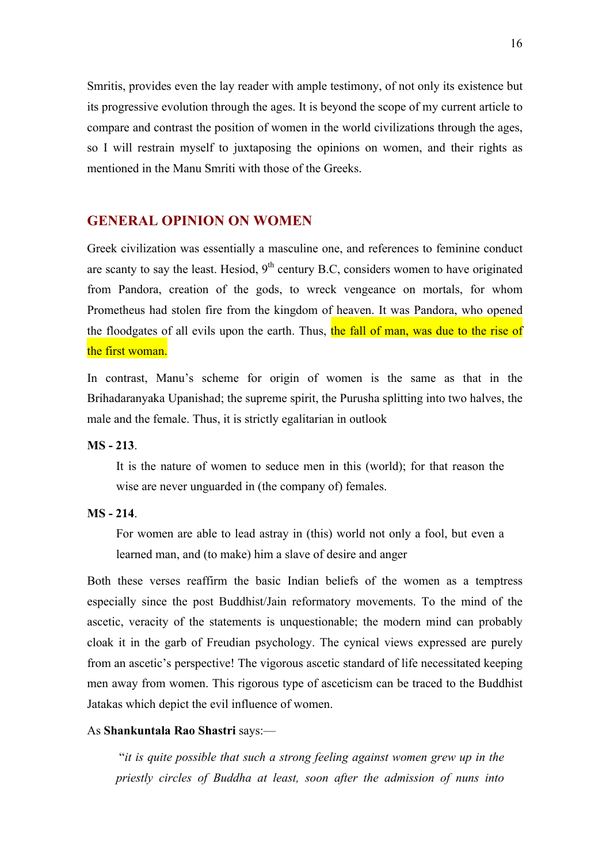Smritis, provides even the lay reader with ample testimony, of not only its existence but its progressive evolution through the ages. It is beyond the scope of my current article to compare and contrast the position of women in the world civilizations through the ages, so I will restrain myself to juxtaposing the opinions on women, and their rights as mentioned in the Manu Smriti with those of the Greeks.

# **GENERAL OPINION ON WOMEN**

Greek civilization was essentially a masculine one, and references to feminine conduct are scanty to say the least. Hesiod,  $9<sup>th</sup>$  century B.C, considers women to have originated from Pandora, creation of the gods, to wreck vengeance on mortals, for whom Prometheus had stolen fire from the kingdom of heaven. It was Pandora, who opened the floodgates of all evils upon the earth. Thus, the fall of man, was due to the rise of the first woman.

In contrast, Manu's scheme for origin of women is the same as that in the Brihadaranyaka Upanishad; the supreme spirit, the Purusha splitting into two halves, the male and the female. Thus, it is strictly egalitarian in outlook

#### **MS - 213**.

It is the nature of women to seduce men in this (world); for that reason the wise are never unguarded in (the company of) females.

#### **MS - 214**.

For women are able to lead astray in (this) world not only a fool, but even a learned man, and (to make) him a slave of desire and anger

Both these verses reaffirm the basic Indian beliefs of the women as a temptress especially since the post Buddhist/Jain reformatory movements. To the mind of the ascetic, veracity of the statements is unquestionable; the modern mind can probably cloak it in the garb of Freudian psychology. The cynical views expressed are purely from an ascetic's perspective! The vigorous ascetic standard of life necessitated keeping men away from women. This rigorous type of asceticism can be traced to the Buddhist Jatakas which depict the evil influence of women.

#### As **Shankuntala Rao Shastri** says:—

 "*it is quite possible that such a strong feeling against women grew up in the priestly circles of Buddha at least, soon after the admission of nuns into*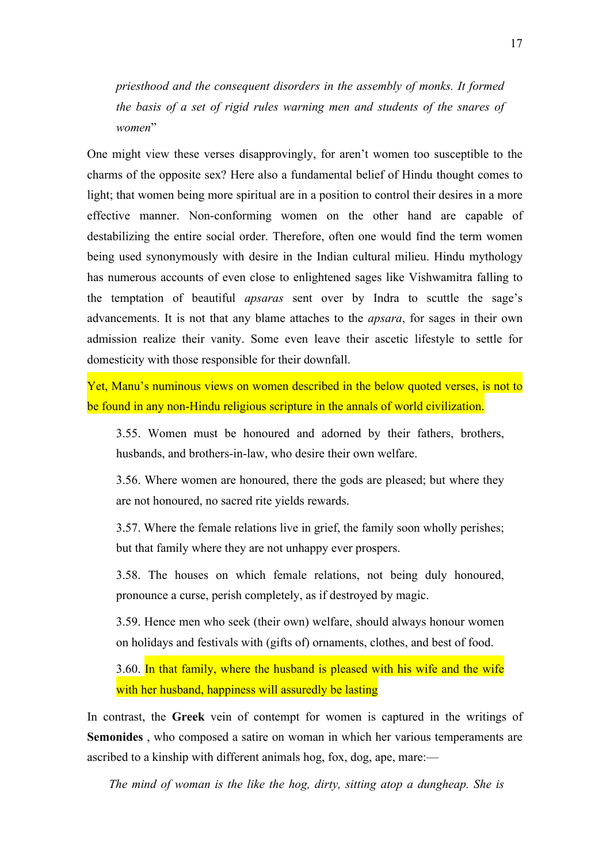*priesthood and the consequent disorders in the assembly of monks. It formed the basis of a set of rigid rules warning men and students of the snares of women*"

One might view these verses disapprovingly, for aren't women too susceptible to the charms of the opposite sex? Here also a fundamental belief of Hindu thought comes to light; that women being more spiritual are in a position to control their desires in a more effective manner. Non-conforming women on the other hand are capable of destabilizing the entire social order. Therefore, often one would find the term women being used synonymously with desire in the Indian cultural milieu. Hindu mythology has numerous accounts of even close to enlightened sages like Vishwamitra falling to the temptation of beautiful *apsaras* sent over by Indra to scuttle the sage's advancements. It is not that any blame attaches to the *apsara*, for sages in their own admission realize their vanity. Some even leave their ascetic lifestyle to settle for domesticity with those responsible for their downfall.

Yet, Manu's numinous views on women described in the below quoted verses, is not to be found in any non-Hindu religious scripture in the annals of world civilization.

3.55. Women must be honoured and adorned by their fathers, brothers, husbands, and brothers-in-law, who desire their own welfare.

3.56. Where women are honoured, there the gods are pleased; but where they are not honoured, no sacred rite yields rewards.

3.57. Where the female relations live in grief, the family soon wholly perishes; but that family where they are not unhappy ever prospers.

3.58. The houses on which female relations, not being duly honoured, pronounce a curse, perish completely, as if destroyed by magic.

3.59. Hence men who seek (their own) welfare, should always honour women on holidays and festivals with (gifts of) ornaments, clothes, and best of food.

3.60. In that family, where the husband is pleased with his wife and the wife with her husband, happiness will assuredly be lasting

In contrast, the **Greek** vein of contempt for women is captured in the writings of **Semonides** , who composed a satire on woman in which her various temperaments are ascribed to a kinship with different animals hog, fox, dog, ape, mare:—

*The mind of woman is the like the hog, dirty, sitting atop a dungheap. She is*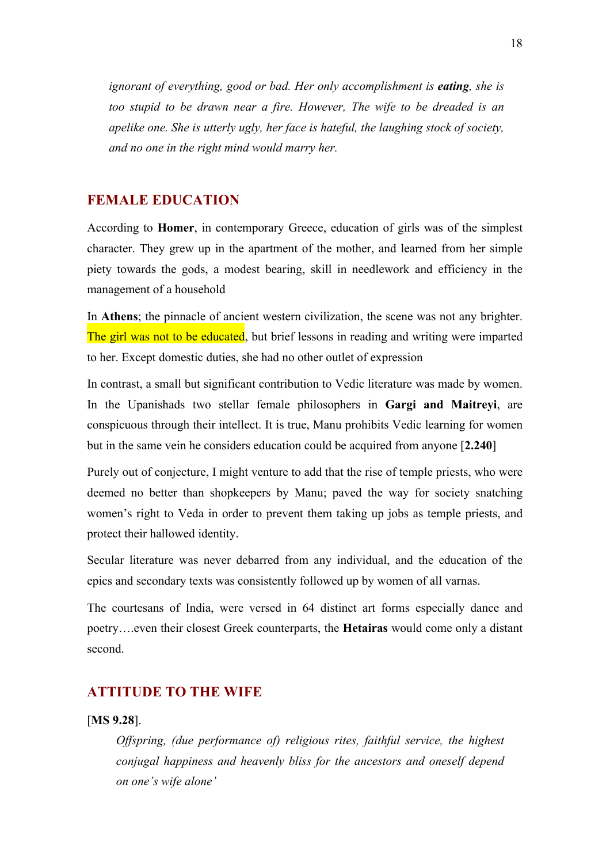*ignorant of everything, good or bad. Her only accomplishment is <i>eating*, *she is too stupid to be drawn near a fire. However, The wife to be dreaded is an apelike one. She is utterly ugly, her face is hateful, the laughing stock of society, and no one in the right mind would marry her.*

# **FEMALE EDUCATION**

According to **Homer**, in contemporary Greece, education of girls was of the simplest character. They grew up in the apartment of the mother, and learned from her simple piety towards the gods, a modest bearing, skill in needlework and efficiency in the management of a household

In **Athens**; the pinnacle of ancient western civilization, the scene was not any brighter. The girl was not to be educated, but brief lessons in reading and writing were imparted to her. Except domestic duties, she had no other outlet of expression

In contrast, a small but significant contribution to Vedic literature was made by women. In the Upanishads two stellar female philosophers in **Gargi and Maitreyi**, are conspicuous through their intellect. It is true, Manu prohibits Vedic learning for women but in the same vein he considers education could be acquired from anyone [**2.240**]

Purely out of conjecture, I might venture to add that the rise of temple priests, who were deemed no better than shopkeepers by Manu; paved the way for society snatching women's right to Veda in order to prevent them taking up jobs as temple priests, and protect their hallowed identity.

Secular literature was never debarred from any individual, and the education of the epics and secondary texts was consistently followed up by women of all varnas.

The courtesans of India, were versed in 64 distinct art forms especially dance and poetry….even their closest Greek counterparts, the **Hetairas** would come only a distant second.

# **ATTITUDE TO THE WIFE**

#### [**MS 9.28**].

*Offspring, (due performance of) religious rites, faithful service, the highest conjugal happiness and heavenly bliss for the ancestors and oneself depend on one's wife alone'*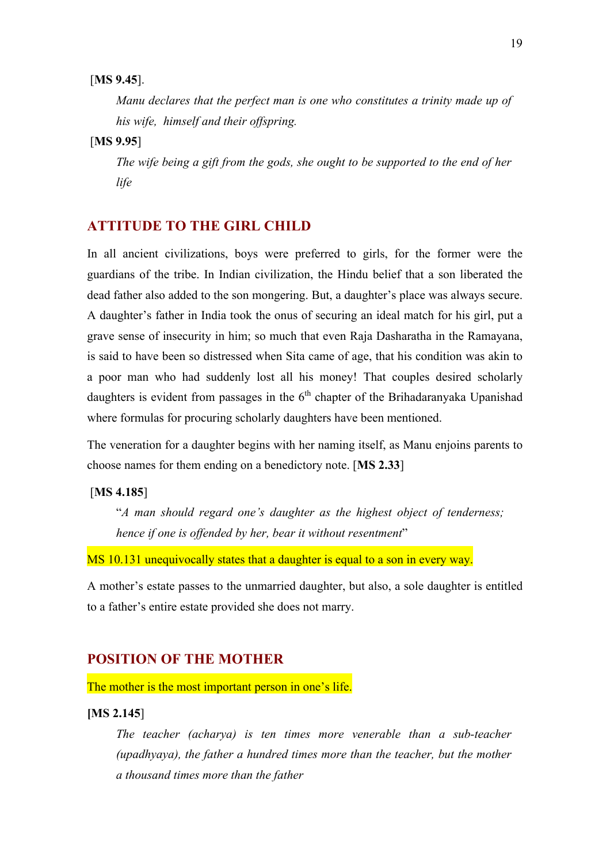## [**MS 9.45**].

*Manu declares that the perfect man is one who constitutes a trinity made up of his wife, himself and their offspring.* 

# [**MS 9.95**]

*The wife being a gift from the gods, she ought to be supported to the end of her life* 

# **ATTITUDE TO THE GIRL CHILD**

In all ancient civilizations, boys were preferred to girls, for the former were the guardians of the tribe. In Indian civilization, the Hindu belief that a son liberated the dead father also added to the son mongering. But, a daughter's place was always secure. A daughter's father in India took the onus of securing an ideal match for his girl, put a grave sense of insecurity in him; so much that even Raja Dasharatha in the Ramayana, is said to have been so distressed when Sita came of age, that his condition was akin to a poor man who had suddenly lost all his money! That couples desired scholarly daughters is evident from passages in the  $6<sup>th</sup>$  chapter of the Brihadaranyaka Upanishad where formulas for procuring scholarly daughters have been mentioned.

The veneration for a daughter begins with her naming itself, as Manu enjoins parents to choose names for them ending on a benedictory note. [**MS 2.33**]

#### [**MS 4.185**]

"*A man should regard one's daughter as the highest object of tenderness; hence if one is offended by her, bear it without resentment*"

MS 10.131 unequivocally states that a daughter is equal to a son in every way.

A mother's estate passes to the unmarried daughter, but also, a sole daughter is entitled to a father's entire estate provided she does not marry.

## **POSITION OF THE MOTHER**

The mother is the most important person in one's life.

#### **[MS 2.145**]

*The teacher (acharya) is ten times more venerable than a sub-teacher (upadhyaya), the father a hundred times more than the teacher, but the mother a thousand times more than the father*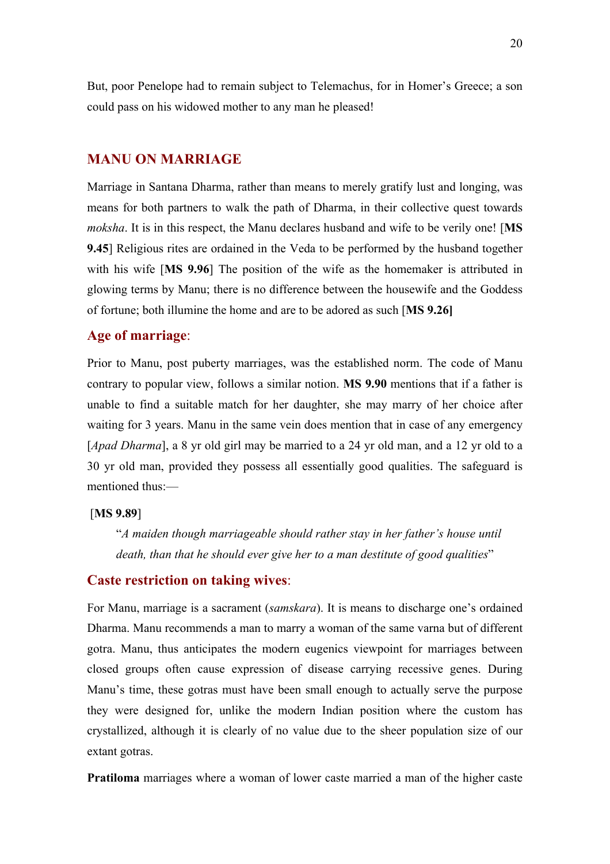But, poor Penelope had to remain subject to Telemachus, for in Homer's Greece; a son could pass on his widowed mother to any man he pleased!

## **MANU ON MARRIAGE**

Marriage in Santana Dharma, rather than means to merely gratify lust and longing, was means for both partners to walk the path of Dharma, in their collective quest towards *moksha*. It is in this respect, the Manu declares husband and wife to be verily one! [**MS 9.45**] Religious rites are ordained in the Veda to be performed by the husband together with his wife [**MS 9.96**] The position of the wife as the homemaker is attributed in glowing terms by Manu; there is no difference between the housewife and the Goddess of fortune; both illumine the home and are to be adored as such [**MS 9.26]**

# **Age of marriage**:

Prior to Manu, post puberty marriages, was the established norm. The code of Manu contrary to popular view, follows a similar notion. **MS 9.90** mentions that if a father is unable to find a suitable match for her daughter, she may marry of her choice after waiting for 3 years. Manu in the same vein does mention that in case of any emergency [*Apad Dharma*], a 8 yr old girl may be married to a 24 yr old man, and a 12 yr old to a 30 yr old man, provided they possess all essentially good qualities. The safeguard is mentioned thus:—

#### [**MS 9.89**]

"*A maiden though marriageable should rather stay in her father's house until death, than that he should ever give her to a man destitute of good qualities*"

## **Caste restriction on taking wives**:

For Manu, marriage is a sacrament (*samskara*). It is means to discharge one's ordained Dharma. Manu recommends a man to marry a woman of the same varna but of different gotra. Manu, thus anticipates the modern eugenics viewpoint for marriages between closed groups often cause expression of disease carrying recessive genes. During Manu's time, these gotras must have been small enough to actually serve the purpose they were designed for, unlike the modern Indian position where the custom has crystallized, although it is clearly of no value due to the sheer population size of our extant gotras.

**Pratiloma** marriages where a woman of lower caste married a man of the higher caste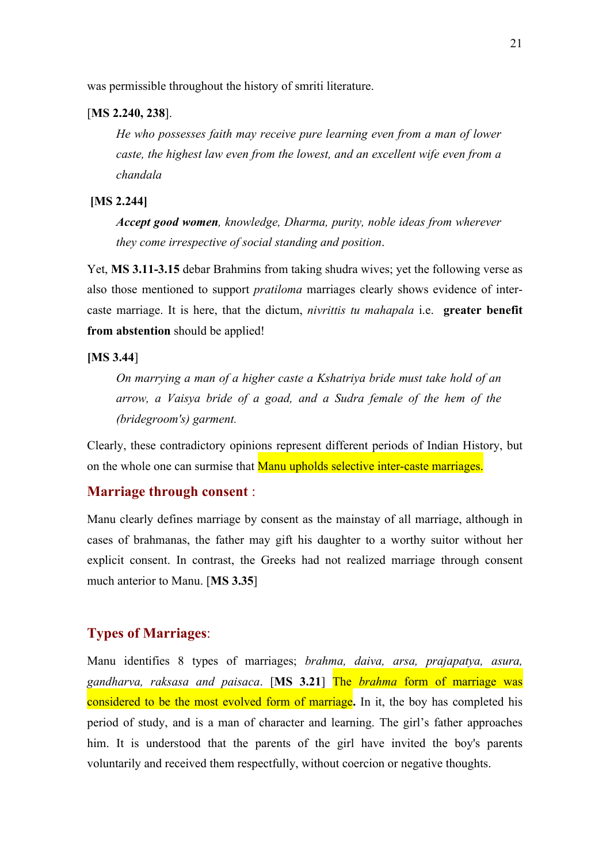was permissible throughout the history of smriti literature.

#### [**MS 2.240, 238**].

*He who possesses faith may receive pure learning even from a man of lower caste, the highest law even from the lowest, and an excellent wife even from a chandala*

### **[MS 2.244]**

*Accept good women, knowledge, Dharma, purity, noble ideas from wherever they come irrespective of social standing and position*.

Yet, **MS 3.11-3.15** debar Brahmins from taking shudra wives; yet the following verse as also those mentioned to support *pratiloma* marriages clearly shows evidence of intercaste marriage. It is here, that the dictum, *nivrittis tu mahapala* i.e. **greater benefit from abstention** should be applied!

#### **[MS 3.44**]

*On marrying a man of a higher caste a Kshatriya bride must take hold of an arrow, a Vaisya bride of a goad, and a Sudra female of the hem of the (bridegroom's) garment.*

Clearly, these contradictory opinions represent different periods of Indian History, but on the whole one can surmise that **Manu upholds selective inter-caste marriages.** 

# **Marriage through consent** :

Manu clearly defines marriage by consent as the mainstay of all marriage, although in cases of brahmanas, the father may gift his daughter to a worthy suitor without her explicit consent. In contrast, the Greeks had not realized marriage through consent much anterior to Manu. [**MS 3.35**]

## **Types of Marriages**:

Manu identifies 8 types of marriages; *brahma, daiva, arsa, prajapatya, asura, gandharva, raksasa and paisaca*. [**MS 3.21**] The *brahma* form of marriage was considered to be the most evolved form of marriage**.** In it, the boy has completed his period of study, and is a man of character and learning. The girl's father approaches him. It is understood that the parents of the girl have invited the boy's parents voluntarily and received them respectfully, without coercion or negative thoughts.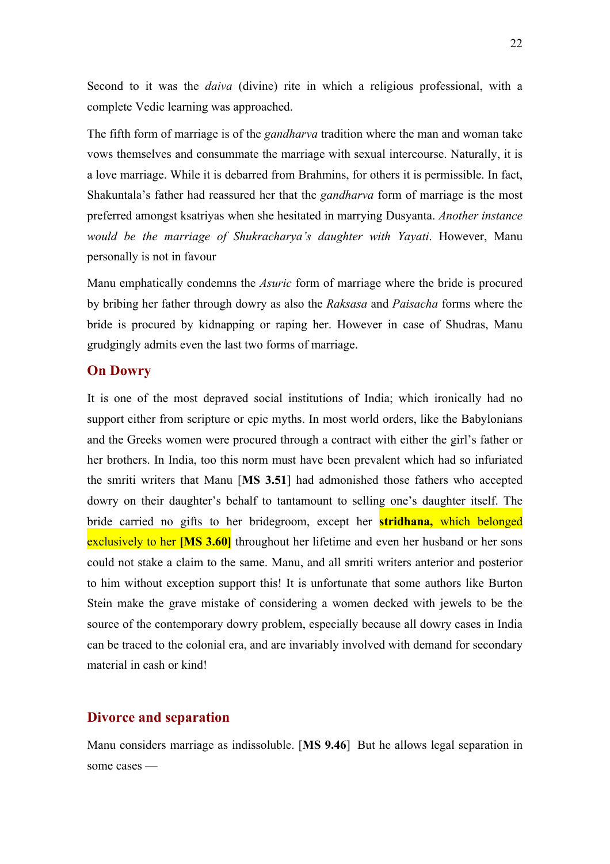Second to it was the *daiva* (divine) rite in which a religious professional, with a complete Vedic learning was approached.

The fifth form of marriage is of the *gandharva* tradition where the man and woman take vows themselves and consummate the marriage with sexual intercourse. Naturally, it is a love marriage. While it is debarred from Brahmins, for others it is permissible. In fact, Shakuntala's father had reassured her that the *gandharva* form of marriage is the most preferred amongst ksatriyas when she hesitated in marrying Dusyanta. *Another instance would be the marriage of Shukracharya's daughter with Yayati*. However, Manu personally is not in favour

Manu emphatically condemns the *Asuric* form of marriage where the bride is procured by bribing her father through dowry as also the *Raksasa* and *Paisacha* forms where the bride is procured by kidnapping or raping her. However in case of Shudras, Manu grudgingly admits even the last two forms of marriage.

## **On Dowry**

It is one of the most depraved social institutions of India; which ironically had no support either from scripture or epic myths. In most world orders, like the Babylonians and the Greeks women were procured through a contract with either the girl's father or her brothers. In India, too this norm must have been prevalent which had so infuriated the smriti writers that Manu [**MS 3.51**] had admonished those fathers who accepted dowry on their daughter's behalf to tantamount to selling one's daughter itself. The bride carried no gifts to her bridegroom, except her **stridhana,** which belonged exclusively to her **[MS 3.60]** throughout her lifetime and even her husband or her sons could not stake a claim to the same. Manu, and all smriti writers anterior and posterior to him without exception support this! It is unfortunate that some authors like Burton Stein make the grave mistake of considering a women decked with jewels to be the source of the contemporary dowry problem, especially because all dowry cases in India can be traced to the colonial era, and are invariably involved with demand for secondary material in cash or kind!

## **Divorce and separation**

Manu considers marriage as indissoluble. [**MS 9.46**] But he allows legal separation in some cases —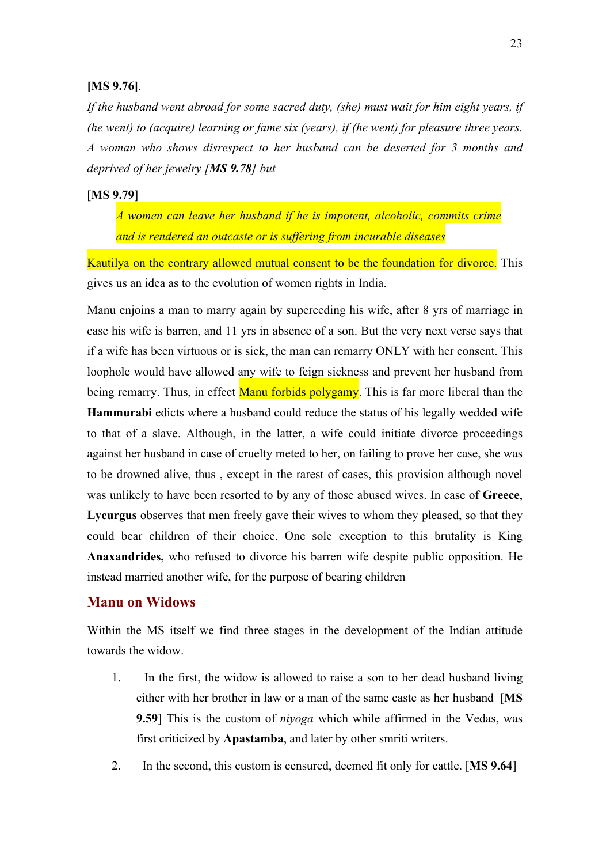## **[MS 9.76]**.

*If the husband went abroad for some sacred duty, (she) must wait for him eight years, if (he went) to (acquire) learning or fame six (years), if (he went) for pleasure three years. A woman who shows disrespect to her husband can be deserted for 3 months and deprived of her jewelry [MS 9.78] but* 

#### [**MS 9.79**]

*A women can leave her husband if he is impotent, alcoholic, commits crime and is rendered an outcaste or is suffering from incurable diseases*

Kautilya on the contrary allowed mutual consent to be the foundation for divorce. This gives us an idea as to the evolution of women rights in India.

Manu enjoins a man to marry again by superceding his wife, after 8 yrs of marriage in case his wife is barren, and 11 yrs in absence of a son. But the very next verse says that if a wife has been virtuous or is sick, the man can remarry ONLY with her consent. This loophole would have allowed any wife to feign sickness and prevent her husband from being remarry. Thus, in effect Manu forbids polygamy. This is far more liberal than the **Hammurabi** edicts where a husband could reduce the status of his legally wedded wife to that of a slave. Although, in the latter, a wife could initiate divorce proceedings against her husband in case of cruelty meted to her, on failing to prove her case, she was to be drowned alive, thus , except in the rarest of cases, this provision although novel was unlikely to have been resorted to by any of those abused wives. In case of **Greece**, **Lycurgus** observes that men freely gave their wives to whom they pleased, so that they could bear children of their choice. One sole exception to this brutality is King **Anaxandrides,** who refused to divorce his barren wife despite public opposition. He instead married another wife, for the purpose of bearing children

## **Manu on Widows**

Within the MS itself we find three stages in the development of the Indian attitude towards the widow.

- 1. In the first, the widow is allowed to raise a son to her dead husband living either with her brother in law or a man of the same caste as her husband [**MS 9.59**] This is the custom of *niyoga* which while affirmed in the Vedas, was first criticized by **Apastamba**, and later by other smriti writers.
- 2. In the second, this custom is censured, deemed fit only for cattle. [**MS 9.64**]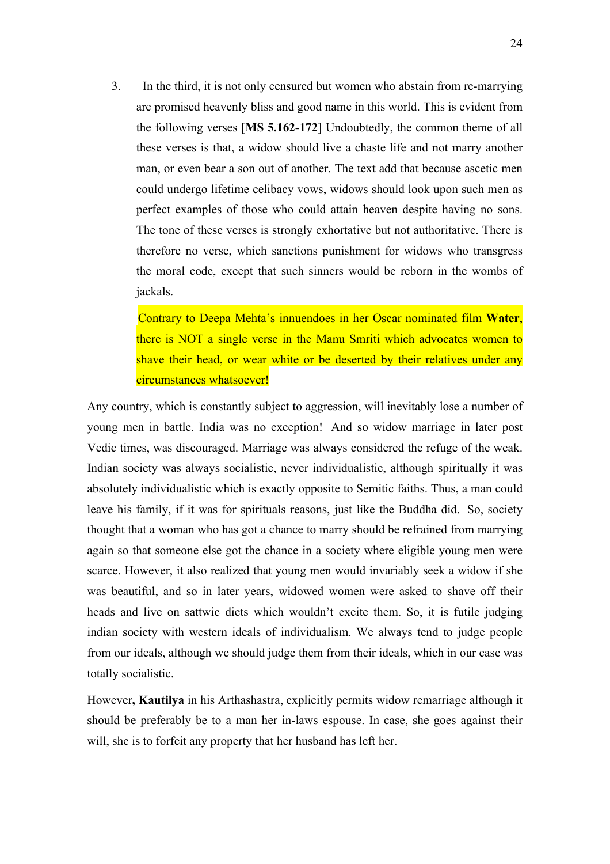3. In the third, it is not only censured but women who abstain from re-marrying are promised heavenly bliss and good name in this world. This is evident from the following verses [**MS 5.162-172**] Undoubtedly, the common theme of all these verses is that, a widow should live a chaste life and not marry another man, or even bear a son out of another. The text add that because ascetic men could undergo lifetime celibacy vows, widows should look upon such men as perfect examples of those who could attain heaven despite having no sons. The tone of these verses is strongly exhortative but not authoritative. There is therefore no verse, which sanctions punishment for widows who transgress the moral code, except that such sinners would be reborn in the wombs of jackals.

Contrary to Deepa Mehta's innuendoes in her Oscar nominated film **Water**, there is NOT a single verse in the Manu Smriti which advocates women to shave their head, or wear white or be deserted by their relatives under any circumstances whatsoever!

Any country, which is constantly subject to aggression, will inevitably lose a number of young men in battle. India was no exception! And so widow marriage in later post Vedic times, was discouraged. Marriage was always considered the refuge of the weak. Indian society was always socialistic, never individualistic, although spiritually it was absolutely individualistic which is exactly opposite to Semitic faiths. Thus, a man could leave his family, if it was for spirituals reasons, just like the Buddha did. So, society thought that a woman who has got a chance to marry should be refrained from marrying again so that someone else got the chance in a society where eligible young men were scarce. However, it also realized that young men would invariably seek a widow if she was beautiful, and so in later years, widowed women were asked to shave off their heads and live on sattwic diets which wouldn't excite them. So, it is futile judging indian society with western ideals of individualism. We always tend to judge people from our ideals, although we should judge them from their ideals, which in our case was totally socialistic.

However**, Kautilya** in his Arthashastra, explicitly permits widow remarriage although it should be preferably be to a man her in-laws espouse. In case, she goes against their will, she is to forfeit any property that her husband has left her.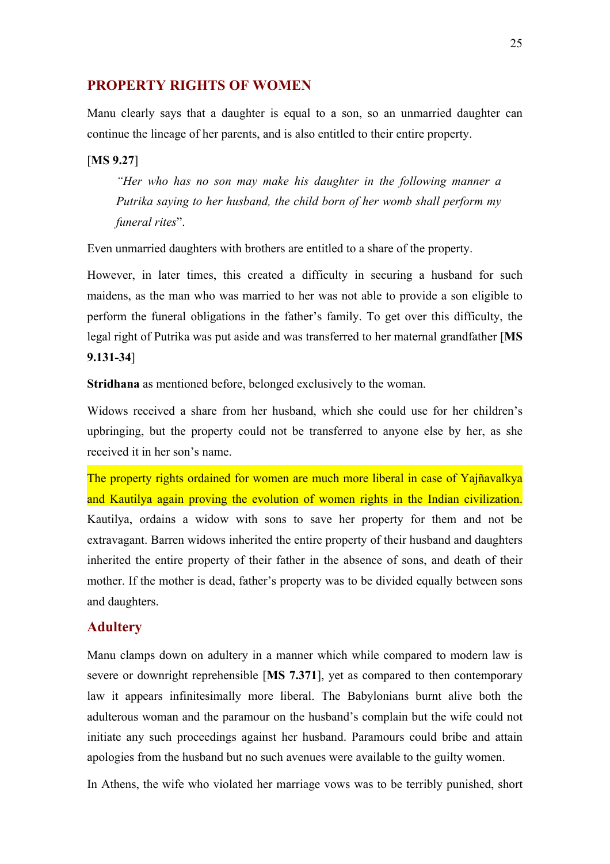# **PROPERTY RIGHTS OF WOMEN**

Manu clearly says that a daughter is equal to a son, so an unmarried daughter can continue the lineage of her parents, and is also entitled to their entire property.

## [**MS 9.27**]

*"Her who has no son may make his daughter in the following manner a Putrika saying to her husband, the child born of her womb shall perform my funeral rites*".

Even unmarried daughters with brothers are entitled to a share of the property.

However, in later times, this created a difficulty in securing a husband for such maidens, as the man who was married to her was not able to provide a son eligible to perform the funeral obligations in the father's family. To get over this difficulty, the legal right of Putrika was put aside and was transferred to her maternal grandfather [**MS 9.131-34**]

**Stridhana** as mentioned before, belonged exclusively to the woman.

Widows received a share from her husband, which she could use for her children's upbringing, but the property could not be transferred to anyone else by her, as she received it in her son's name.

The property rights ordained for women are much more liberal in case of Yajñavalkya and Kautilya again proving the evolution of women rights in the Indian civilization. Kautilya, ordains a widow with sons to save her property for them and not be extravagant. Barren widows inherited the entire property of their husband and daughters inherited the entire property of their father in the absence of sons, and death of their mother. If the mother is dead, father's property was to be divided equally between sons and daughters.

## **Adultery**

Manu clamps down on adultery in a manner which while compared to modern law is severe or downright reprehensible [**MS 7.371**], yet as compared to then contemporary law it appears infinitesimally more liberal. The Babylonians burnt alive both the adulterous woman and the paramour on the husband's complain but the wife could not initiate any such proceedings against her husband. Paramours could bribe and attain apologies from the husband but no such avenues were available to the guilty women.

In Athens, the wife who violated her marriage vows was to be terribly punished, short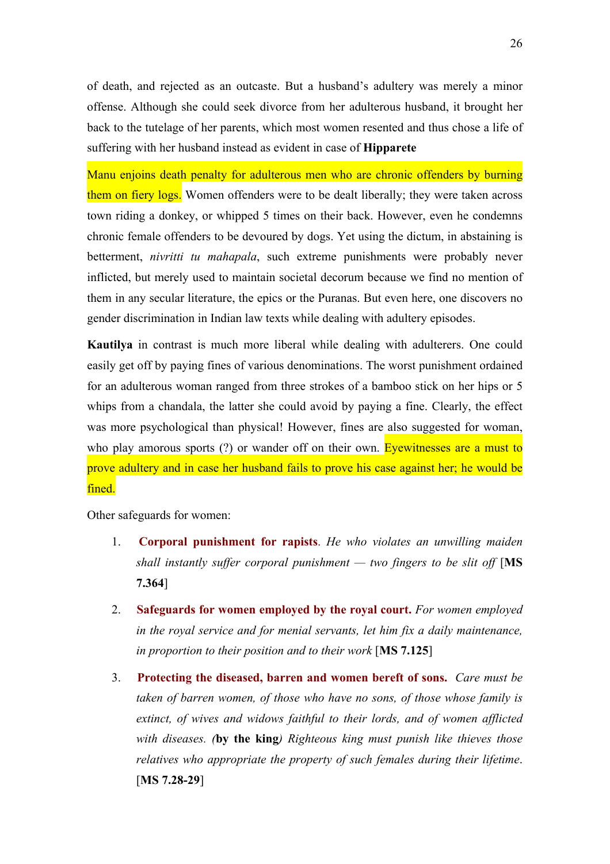of death, and rejected as an outcaste. But a husband's adultery was merely a minor offense. Although she could seek divorce from her adulterous husband, it brought her back to the tutelage of her parents, which most women resented and thus chose a life of suffering with her husband instead as evident in case of **Hipparete**

Manu enjoins death penalty for adulterous men who are chronic offenders by burning them on fiery logs. Women offenders were to be dealt liberally; they were taken across town riding a donkey, or whipped 5 times on their back. However, even he condemns chronic female offenders to be devoured by dogs. Yet using the dictum, in abstaining is betterment, *nivritti tu mahapala*, such extreme punishments were probably never inflicted, but merely used to maintain societal decorum because we find no mention of them in any secular literature, the epics or the Puranas. But even here, one discovers no gender discrimination in Indian law texts while dealing with adultery episodes.

**Kautilya** in contrast is much more liberal while dealing with adulterers. One could easily get off by paying fines of various denominations. The worst punishment ordained for an adulterous woman ranged from three strokes of a bamboo stick on her hips or 5 whips from a chandala, the latter she could avoid by paying a fine. Clearly, the effect was more psychological than physical! However, fines are also suggested for woman, who play amorous sports (?) or wander off on their own. Evewitnesses are a must to prove adultery and in case her husband fails to prove his case against her; he would be fined.

Other safeguards for women:

- 1. **Corporal punishment for rapists**. *He who violates an unwilling maiden shall instantly suffer corporal punishment — two fingers to be slit off* [**MS 7.364**]
- 2. **Safeguards for women employed by the royal court.** *For women employed in the royal service and for menial servants, let him fix a daily maintenance, in proportion to their position and to their work* [**MS 7.125**]
- 3. **Protecting the diseased, barren and women bereft of sons.** *Care must be taken of barren women, of those who have no sons, of those whose family is extinct, of wives and widows faithful to their lords, and of women afflicted with diseases. (***by the king***) Righteous king must punish like thieves those relatives who appropriate the property of such females during their lifetime*. [**MS 7.28-29**]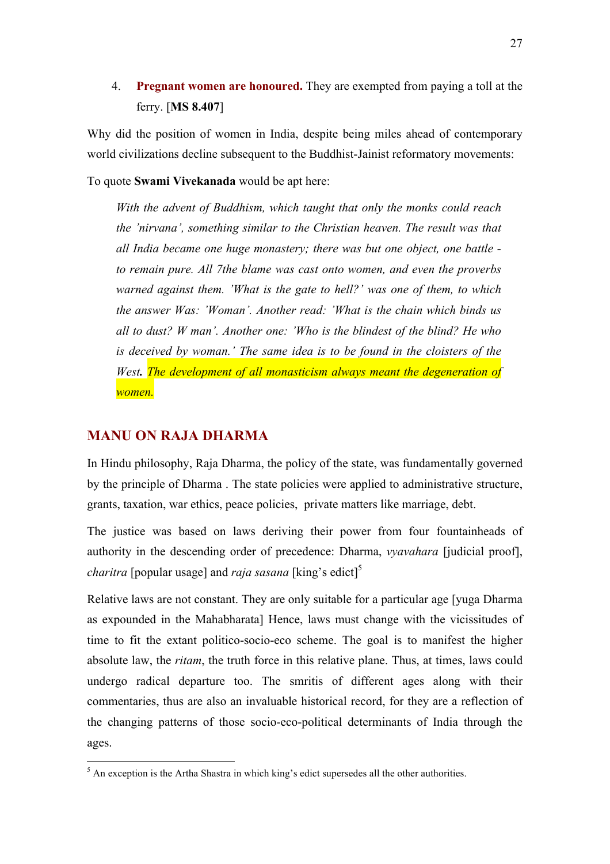4. **Pregnant women are honoured.** They are exempted from paying a toll at the ferry. [**MS 8.407**]

Why did the position of women in India, despite being miles ahead of contemporary world civilizations decline subsequent to the Buddhist-Jainist reformatory movements:

To quote **Swami Vivekanada** would be apt here:

*With the advent of Buddhism, which taught that only the monks could reach the 'nirvana', something similar to the Christian heaven. The result was that all India became one huge monastery; there was but one object, one battle to remain pure. All 7the blame was cast onto women, and even the proverbs warned against them. 'What is the gate to hell?' was one of them, to which the answer Was: 'Woman'. Another read: 'What is the chain which binds us all to dust? W man'. Another one: 'Who is the blindest of the blind? He who is deceived by woman.' The same idea is to be found in the cloisters of the West. The development of all monasticism always meant the degeneration of women.*

# **MANU ON RAJA DHARMA**

In Hindu philosophy, Raja Dharma, the policy of the state, was fundamentally governed by the principle of Dharma . The state policies were applied to administrative structure, grants, taxation, war ethics, peace policies, private matters like marriage, debt.

The justice was based on laws deriving their power from four fountainheads of authority in the descending order of precedence: Dharma, *vyavahara* [judicial proof], *charitra* [popular usage] and *raja sasana* [king's edict]<sup>5</sup>

Relative laws are not constant. They are only suitable for a particular age [yuga Dharma as expounded in the Mahabharata] Hence, laws must change with the vicissitudes of time to fit the extant politico-socio-eco scheme. The goal is to manifest the higher absolute law, the *ritam*, the truth force in this relative plane. Thus, at times, laws could undergo radical departure too. The smritis of different ages along with their commentaries, thus are also an invaluable historical record, for they are a reflection of the changing patterns of those socio-eco-political determinants of India through the ages.

 $<sup>5</sup>$  An exception is the Artha Shastra in which king's edict supersedes all the other authorities.</sup>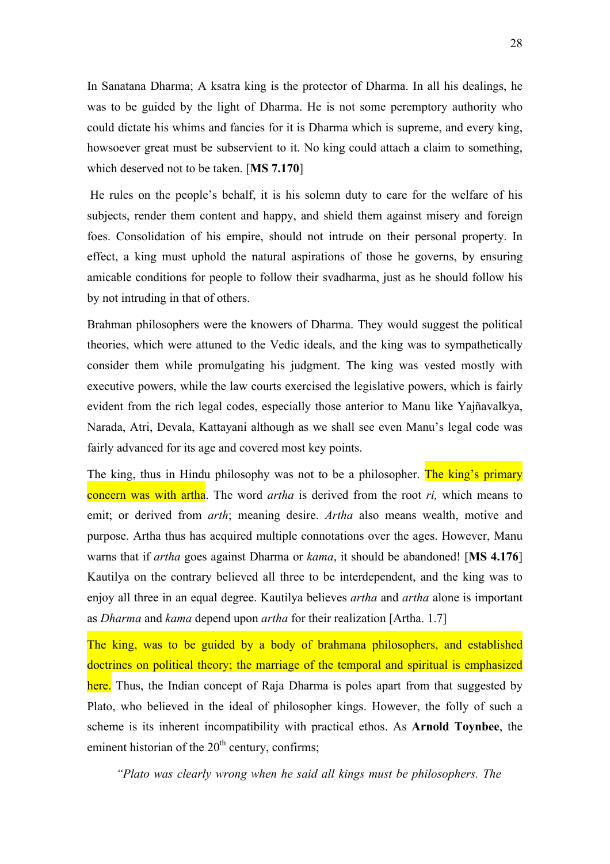In Sanatana Dharma; A ksatra king is the protector of Dharma. In all his dealings, he was to be guided by the light of Dharma. He is not some peremptory authority who could dictate his whims and fancies for it is Dharma which is supreme, and every king, howsoever great must be subservient to it. No king could attach a claim to something, which deserved not to be taken. [**MS 7.170**]

He rules on the people's behalf, it is his solemn duty to care for the welfare of his subjects, render them content and happy, and shield them against misery and foreign foes. Consolidation of his empire, should not intrude on their personal property. In effect, a king must uphold the natural aspirations of those he governs, by ensuring amicable conditions for people to follow their svadharma, just as he should follow his by not intruding in that of others.

Brahman philosophers were the knowers of Dharma. They would suggest the political theories, which were attuned to the Vedic ideals, and the king was to sympathetically consider them while promulgating his judgment. The king was vested mostly with executive powers, while the law courts exercised the legislative powers, which is fairly evident from the rich legal codes, especially those anterior to Manu like Yajñavalkya, Narada, Atri, Devala, Kattayani although as we shall see even Manu's legal code was fairly advanced for its age and covered most key points.

The king, thus in Hindu philosophy was not to be a philosopher. The king's primary concern was with artha. The word *artha* is derived from the root *ri,* which means to emit; or derived from *arth*; meaning desire. *Artha* also means wealth, motive and purpose. Artha thus has acquired multiple connotations over the ages. However, Manu warns that if *artha* goes against Dharma or *kama*, it should be abandoned! [**MS 4.176**] Kautilya on the contrary believed all three to be interdependent, and the king was to enjoy all three in an equal degree. Kautilya believes *artha* and *artha* alone is important as *Dharma* and *kama* depend upon *artha* for their realization [Artha. 1.7]

The king, was to be guided by a body of brahmana philosophers, and established doctrines on political theory; the marriage of the temporal and spiritual is emphasized here. Thus, the Indian concept of Raja Dharma is poles apart from that suggested by Plato, who believed in the ideal of philosopher kings. However, the folly of such a scheme is its inherent incompatibility with practical ethos. As **Arnold Toynbee**, the eminent historian of the  $20<sup>th</sup>$  century, confirms;

*"Plato was clearly wrong when he said all kings must be philosophers. The*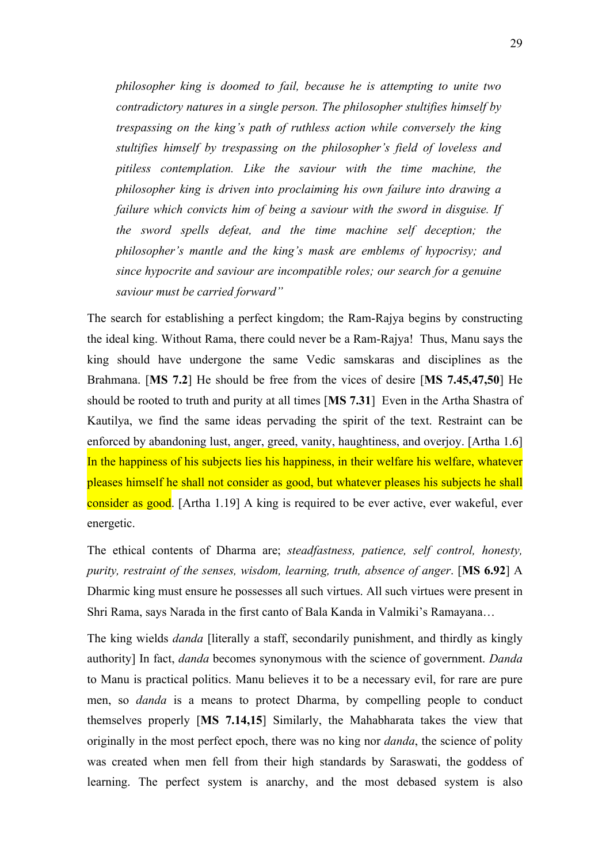*philosopher king is doomed to fail, because he is attempting to unite two contradictory natures in a single person. The philosopher stultifies himself by trespassing on the king's path of ruthless action while conversely the king stultifies himself by trespassing on the philosopher's field of loveless and pitiless contemplation. Like the saviour with the time machine, the philosopher king is driven into proclaiming his own failure into drawing a failure which convicts him of being a saviour with the sword in disguise. If the sword spells defeat, and the time machine self deception; the philosopher's mantle and the king's mask are emblems of hypocrisy; and since hypocrite and saviour are incompatible roles; our search for a genuine saviour must be carried forward"*

The search for establishing a perfect kingdom; the Ram-Rajya begins by constructing the ideal king. Without Rama, there could never be a Ram-Rajya! Thus, Manu says the king should have undergone the same Vedic samskaras and disciplines as the Brahmana. [**MS 7.2**] He should be free from the vices of desire [**MS 7.45,47,50**] He should be rooted to truth and purity at all times [**MS 7.31**] Even in the Artha Shastra of Kautilya, we find the same ideas pervading the spirit of the text. Restraint can be enforced by abandoning lust, anger, greed, vanity, haughtiness, and overjoy. [Artha 1.6] In the happiness of his subjects lies his happiness, in their welfare his welfare, whatever pleases himself he shall not consider as good, but whatever pleases his subjects he shall consider as good. [Artha 1.19] A king is required to be ever active, ever wakeful, ever energetic.

The ethical contents of Dharma are; *steadfastness, patience, self control, honesty, purity, restraint of the senses, wisdom, learning, truth, absence of anger*. [**MS 6.92**] A Dharmic king must ensure he possesses all such virtues. All such virtues were present in Shri Rama, says Narada in the first canto of Bala Kanda in Valmiki's Ramayana…

The king wields *danda* [literally a staff, secondarily punishment, and thirdly as kingly authority] In fact, *danda* becomes synonymous with the science of government. *Danda* to Manu is practical politics. Manu believes it to be a necessary evil, for rare are pure men, so *danda* is a means to protect Dharma, by compelling people to conduct themselves properly [**MS 7.14,15**] Similarly, the Mahabharata takes the view that originally in the most perfect epoch, there was no king nor *danda*, the science of polity was created when men fell from their high standards by Saraswati, the goddess of learning. The perfect system is anarchy, and the most debased system is also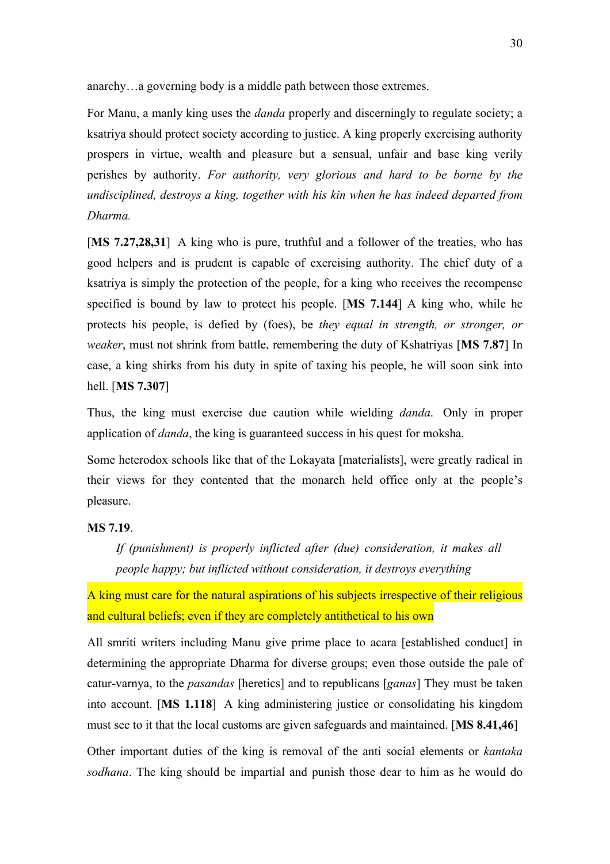anarchy…a governing body is a middle path between those extremes.

For Manu, a manly king uses the *danda* properly and discerningly to regulate society; a ksatriya should protect society according to justice. A king properly exercising authority prospers in virtue, wealth and pleasure but a sensual, unfair and base king verily perishes by authority. *For authority, very glorious and hard to be borne by the undisciplined, destroys a king, together with his kin when he has indeed departed from Dharma.*

[**MS 7.27,28,31**] A king who is pure, truthful and a follower of the treaties, who has good helpers and is prudent is capable of exercising authority. The chief duty of a ksatriya is simply the protection of the people, for a king who receives the recompense specified is bound by law to protect his people. [**MS 7.144**] A king who, while he protects his people, is defied by (foes), be *they equal in strength, or stronger, or weaker*, must not shrink from battle, remembering the duty of Kshatriyas [MS 7.87] In case, a king shirks from his duty in spite of taxing his people, he will soon sink into hell. [**MS 7.307**]

Thus, the king must exercise due caution while wielding *danda*. Only in proper application of *danda*, the king is guaranteed success in his quest for moksha.

Some heterodox schools like that of the Lokayata [materialists], were greatly radical in their views for they contented that the monarch held office only at the people's pleasure.

#### **MS 7.19**.

*If (punishment) is properly inflicted after (due) consideration, it makes all people happy; but inflicted without consideration, it destroys everything*

A king must care for the natural aspirations of his subjects irrespective of their religious and cultural beliefs; even if they are completely antithetical to his own

All smriti writers including Manu give prime place to acara [established conduct] in determining the appropriate Dharma for diverse groups; even those outside the pale of catur-varnya, to the *pasandas* [heretics] and to republicans [*ganas*] They must be taken into account. [**MS 1.118**] A king administering justice or consolidating his kingdom must see to it that the local customs are given safeguards and maintained. [**MS 8.41,46**]

Other important duties of the king is removal of the anti social elements or *kantaka sodhana*. The king should be impartial and punish those dear to him as he would do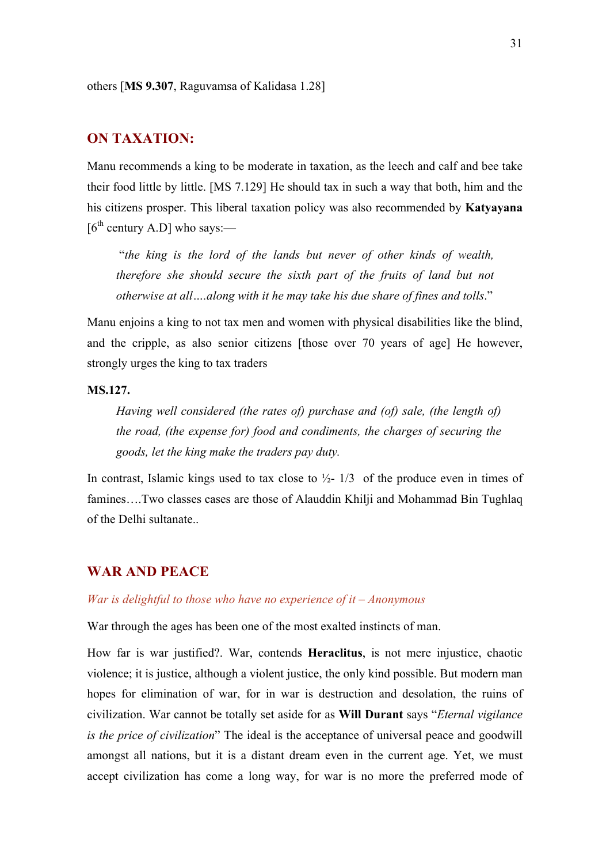others [**MS 9.307**, Raguvamsa of Kalidasa 1.28]

## **ON TAXATION:**

Manu recommends a king to be moderate in taxation, as the leech and calf and bee take their food little by little. [MS 7.129] He should tax in such a way that both, him and the his citizens prosper. This liberal taxation policy was also recommended by **Katyayana**  $[6<sup>th</sup>$  century A.D] who says:—

 "*the king is the lord of the lands but never of other kinds of wealth, therefore she should secure the sixth part of the fruits of land but not otherwise at all….along with it he may take his due share of fines and tolls*."

Manu enjoins a king to not tax men and women with physical disabilities like the blind, and the cripple, as also senior citizens [those over 70 years of age] He however, strongly urges the king to tax traders

## **MS.127.**

*Having well considered (the rates of) purchase and (of) sale, (the length of) the road, (the expense for) food and condiments, the charges of securing the goods, let the king make the traders pay duty.*

In contrast, Islamic kings used to tax close to  $\frac{1}{2}$ - 1/3 of the produce even in times of famines….Two classes cases are those of Alauddin Khilji and Mohammad Bin Tughlaq of the Delhi sultanate..

# **WAR AND PEACE**

#### *War is delightful to those who have no experience of it – Anonymous*

War through the ages has been one of the most exalted instincts of man.

How far is war justified?. War, contends **Heraclitus**, is not mere injustice, chaotic violence; it is justice, although a violent justice, the only kind possible. But modern man hopes for elimination of war, for in war is destruction and desolation, the ruins of civilization. War cannot be totally set aside for as **Will Durant** says "*Eternal vigilance is the price of civilization*" The ideal is the acceptance of universal peace and goodwill amongst all nations, but it is a distant dream even in the current age. Yet, we must accept civilization has come a long way, for war is no more the preferred mode of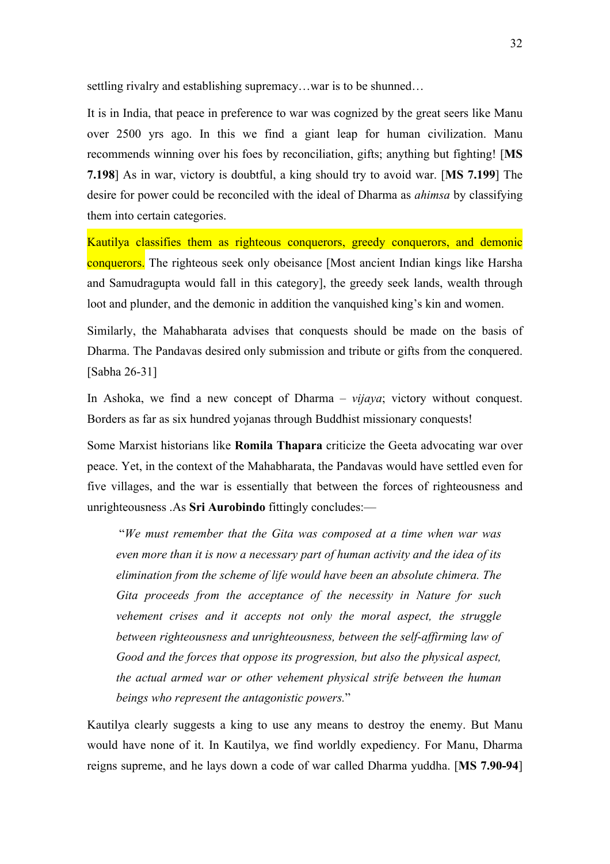settling rivalry and establishing supremacy…war is to be shunned…

It is in India, that peace in preference to war was cognized by the great seers like Manu over 2500 yrs ago. In this we find a giant leap for human civilization. Manu recommends winning over his foes by reconciliation, gifts; anything but fighting! [**MS 7.198**] As in war, victory is doubtful, a king should try to avoid war. [**MS 7.199**] The desire for power could be reconciled with the ideal of Dharma as *ahimsa* by classifying them into certain categories.

Kautilya classifies them as righteous conquerors, greedy conquerors, and demonic conquerors. The righteous seek only obeisance [Most ancient Indian kings like Harsha and Samudragupta would fall in this category], the greedy seek lands, wealth through loot and plunder, and the demonic in addition the vanquished king's kin and women.

Similarly, the Mahabharata advises that conquests should be made on the basis of Dharma. The Pandavas desired only submission and tribute or gifts from the conquered. [Sabha 26-31]

In Ashoka, we find a new concept of Dharma – *vijaya*; victory without conquest. Borders as far as six hundred yojanas through Buddhist missionary conquests!

Some Marxist historians like **Romila Thapara** criticize the Geeta advocating war over peace. Yet, in the context of the Mahabharata, the Pandavas would have settled even for five villages, and the war is essentially that between the forces of righteousness and unrighteousness .As **Sri Aurobindo** fittingly concludes:—

 "*We must remember that the Gita was composed at a time when war was even more than it is now a necessary part of human activity and the idea of its elimination from the scheme of life would have been an absolute chimera. The Gita proceeds from the acceptance of the necessity in Nature for such vehement crises and it accepts not only the moral aspect, the struggle between righteousness and unrighteousness, between the self-affirming law of Good and the forces that oppose its progression, but also the physical aspect, the actual armed war or other vehement physical strife between the human beings who represent the antagonistic powers.*"

Kautilya clearly suggests a king to use any means to destroy the enemy. But Manu would have none of it. In Kautilya, we find worldly expediency. For Manu, Dharma reigns supreme, and he lays down a code of war called Dharma yuddha. [**MS 7.90-94**]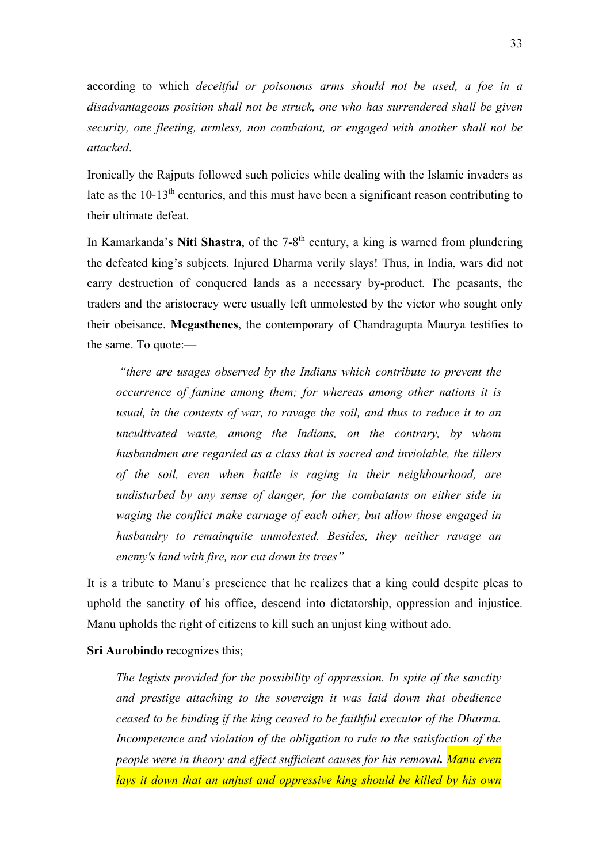according to which *deceitful or poisonous arms should not be used, a foe in a disadvantageous position shall not be struck, one who has surrendered shall be given security, one fleeting, armless, non combatant, or engaged with another shall not be attacked*.

Ironically the Rajputs followed such policies while dealing with the Islamic invaders as late as the  $10-13<sup>th</sup>$  centuries, and this must have been a significant reason contributing to their ultimate defeat.

In Kamarkanda's **Niti Shastra**, of the 7-8<sup>th</sup> century, a king is warned from plundering the defeated king's subjects. Injured Dharma verily slays! Thus, in India, wars did not carry destruction of conquered lands as a necessary by-product. The peasants, the traders and the aristocracy were usually left unmolested by the victor who sought only their obeisance. **Megasthenes**, the contemporary of Chandragupta Maurya testifies to the same. To quote:—

*"there are usages observed by the Indians which contribute to prevent the occurrence of famine among them; for whereas among other nations it is usual, in the contests of war, to ravage the soil, and thus to reduce it to an uncultivated waste, among the Indians, on the contrary, by whom husbandmen are regarded as a class that is sacred and inviolable, the tillers of the soil, even when battle is raging in their neighbourhood, are undisturbed by any sense of danger, for the combatants on either side in waging the conflict make carnage of each other, but allow those engaged in husbandry to remainquite unmolested. Besides, they neither ravage an enemy's land with fire, nor cut down its trees"*

It is a tribute to Manu's prescience that he realizes that a king could despite pleas to uphold the sanctity of his office, descend into dictatorship, oppression and injustice. Manu upholds the right of citizens to kill such an unjust king without ado.

**Sri Aurobindo** recognizes this;

*The legists provided for the possibility of oppression. In spite of the sanctity and prestige attaching to the sovereign it was laid down that obedience ceased to be binding if the king ceased to be faithful executor of the Dharma. Incompetence and violation of the obligation to rule to the satisfaction of the people were in theory and effect sufficient causes for his removal. Manu even lays it down that an unjust and oppressive king should be killed by his own*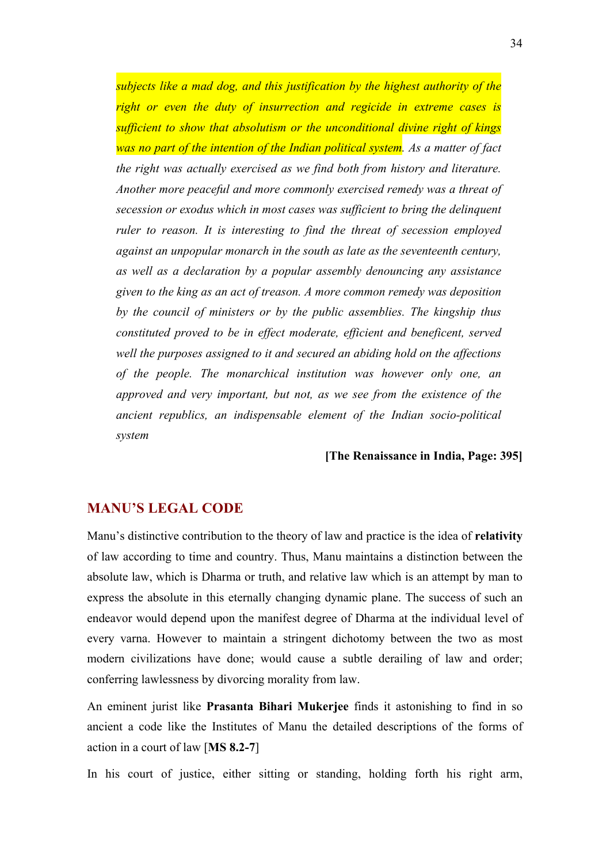*subjects like a mad dog, and this justification by the highest authority of the right or even the duty of insurrection and regicide in extreme cases is sufficient to show that absolutism or the unconditional divine right of kings was no part of the intention of the Indian political system. As a matter of fact the right was actually exercised as we find both from history and literature. Another more peaceful and more commonly exercised remedy was a threat of secession or exodus which in most cases was sufficient to bring the delinquent ruler to reason. It is interesting to find the threat of secession employed against an unpopular monarch in the south as late as the seventeenth century, as well as a declaration by a popular assembly denouncing any assistance given to the king as an act of treason. A more common remedy was deposition by the council of ministers or by the public assemblies. The kingship thus constituted proved to be in effect moderate, efficient and beneficent, served well the purposes assigned to it and secured an abiding hold on the affections of the people. The monarchical institution was however only one, an approved and very important, but not, as we see from the existence of the ancient republics, an indispensable element of the Indian socio-political system*

# **[The Renaissance in India, Page: 395]**

#### **MANU'S LEGAL CODE**

Manu's distinctive contribution to the theory of law and practice is the idea of **relativity** of law according to time and country. Thus, Manu maintains a distinction between the absolute law, which is Dharma or truth, and relative law which is an attempt by man to express the absolute in this eternally changing dynamic plane. The success of such an endeavor would depend upon the manifest degree of Dharma at the individual level of every varna. However to maintain a stringent dichotomy between the two as most modern civilizations have done; would cause a subtle derailing of law and order; conferring lawlessness by divorcing morality from law.

An eminent jurist like **Prasanta Bihari Mukerjee** finds it astonishing to find in so ancient a code like the Institutes of Manu the detailed descriptions of the forms of action in a court of law [**MS 8.2-7**]

In his court of justice, either sitting or standing, holding forth his right arm,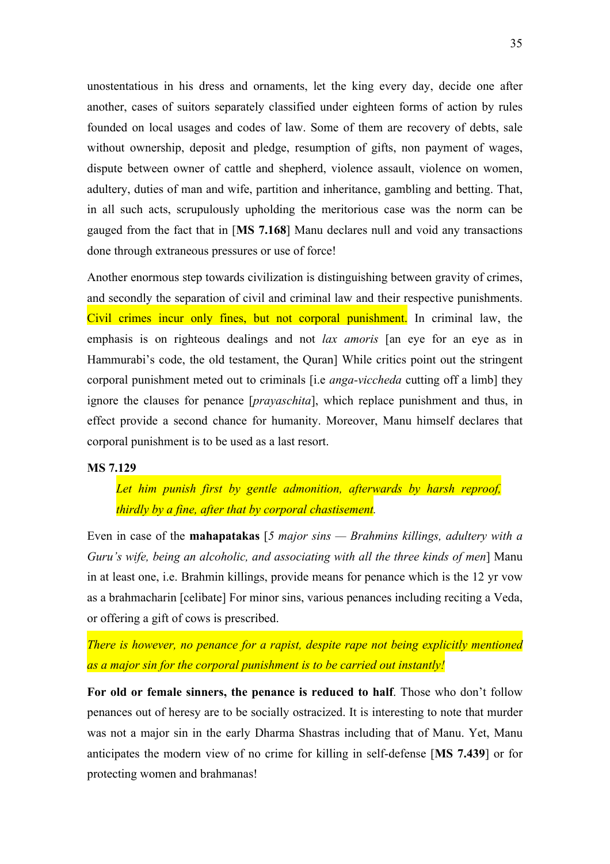unostentatious in his dress and ornaments, let the king every day, decide one after another, cases of suitors separately classified under eighteen forms of action by rules founded on local usages and codes of law. Some of them are recovery of debts, sale without ownership, deposit and pledge, resumption of gifts, non payment of wages, dispute between owner of cattle and shepherd, violence assault, violence on women, adultery, duties of man and wife, partition and inheritance, gambling and betting. That, in all such acts, scrupulously upholding the meritorious case was the norm can be gauged from the fact that in [**MS 7.168**] Manu declares null and void any transactions done through extraneous pressures or use of force!

Another enormous step towards civilization is distinguishing between gravity of crimes, and secondly the separation of civil and criminal law and their respective punishments. Civil crimes incur only fines, but not corporal punishment. In criminal law, the emphasis is on righteous dealings and not *lax amoris* [an eye for an eye as in Hammurabi's code, the old testament, the Quran] While critics point out the stringent corporal punishment meted out to criminals [i.e *anga-viccheda* cutting off a limb] they ignore the clauses for penance [*prayaschita*], which replace punishment and thus, in effect provide a second chance for humanity. Moreover, Manu himself declares that corporal punishment is to be used as a last resort.

## **MS 7.129**

*Let him punish first by gentle admonition, afterwards by harsh reproof, thirdly by a fine, after that by corporal chastisement.*

Even in case of the **mahapatakas** [*5 major sins — Brahmins killings, adultery with a Guru's wife, being an alcoholic, and associating with all the three kinds of men*] Manu in at least one, i.e. Brahmin killings, provide means for penance which is the 12 yr vow as a brahmacharin [celibate] For minor sins, various penances including reciting a Veda, or offering a gift of cows is prescribed.

*There is however, no penance for a rapist, despite rape not being explicitly mentioned as a major sin for the corporal punishment is to be carried out instantly!*

**For old or female sinners, the penance is reduced to half**. Those who don't follow penances out of heresy are to be socially ostracized. It is interesting to note that murder was not a major sin in the early Dharma Shastras including that of Manu. Yet, Manu anticipates the modern view of no crime for killing in self-defense [**MS 7.439**] or for protecting women and brahmanas!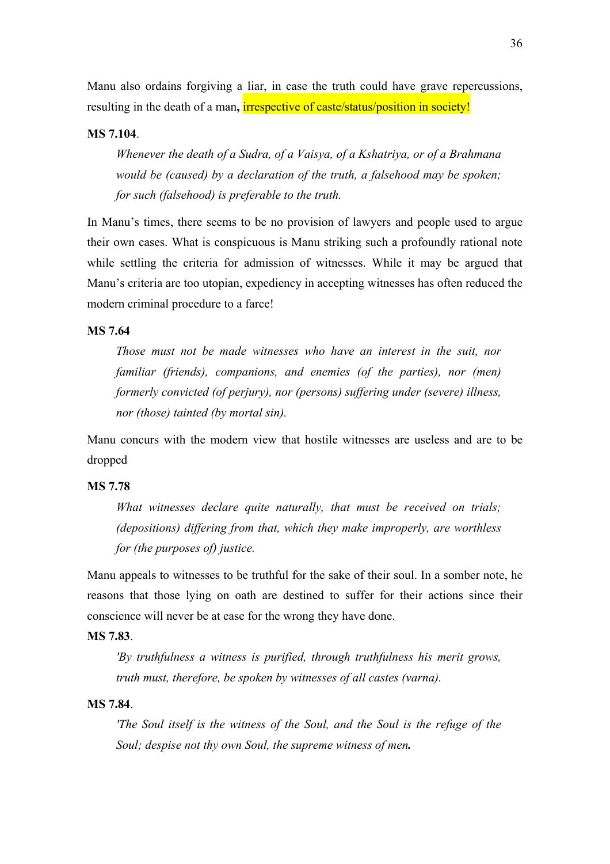Manu also ordains forgiving a liar, in case the truth could have grave repercussions, resulting in the death of a man**,** irrespective of caste/status/position in society!

### **MS 7.104**.

*Whenever the death of a Sudra, of a Vaisya, of a Kshatriya, or of a Brahmana would be (caused) by a declaration of the truth, a falsehood may be spoken; for such (falsehood) is preferable to the truth.*

In Manu's times, there seems to be no provision of lawyers and people used to argue their own cases. What is conspicuous is Manu striking such a profoundly rational note while settling the criteria for admission of witnesses. While it may be argued that Manu's criteria are too utopian, expediency in accepting witnesses has often reduced the modern criminal procedure to a farce!

#### **MS 7.64**

*Those must not be made witnesses who have an interest in the suit, nor familiar (friends), companions, and enemies (of the parties), nor (men) formerly convicted (of perjury), nor (persons) suffering under (severe) illness, nor (those) tainted (by mortal sin).*

Manu concurs with the modern view that hostile witnesses are useless and are to be dropped

#### **MS 7.78**

*What witnesses declare quite naturally, that must be received on trials; (depositions) differing from that, which they make improperly, are worthless for (the purposes of) justice.*

Manu appeals to witnesses to be truthful for the sake of their soul. In a somber note, he reasons that those lying on oath are destined to suffer for their actions since their conscience will never be at ease for the wrong they have done.

#### **MS 7.83**.

*'By truthfulness a witness is purified, through truthfulness his merit grows, truth must, therefore, be spoken by witnesses of all castes (varna).*

### **MS 7.84**.

*'The Soul itself is the witness of the Soul, and the Soul is the refuge of the Soul; despise not thy own Soul, the supreme witness of men.*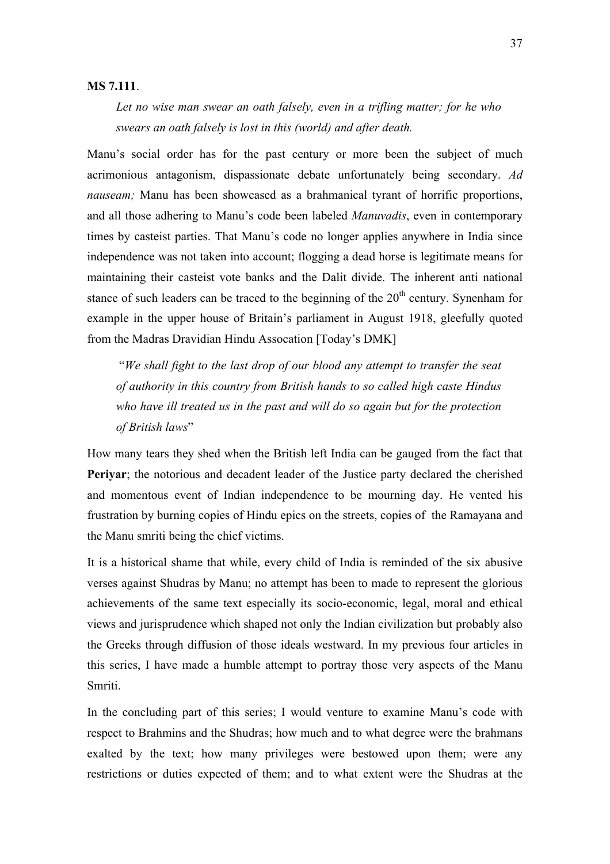#### **MS 7.111**.

*Let no wise man swear an oath falsely, even in a trifling matter; for he who swears an oath falsely is lost in this (world) and after death.*

Manu's social order has for the past century or more been the subject of much acrimonious antagonism, dispassionate debate unfortunately being secondary. *Ad nauseam;* Manu has been showcased as a brahmanical tyrant of horrific proportions, and all those adhering to Manu's code been labeled *Manuvadis*, even in contemporary times by casteist parties. That Manu's code no longer applies anywhere in India since independence was not taken into account; flogging a dead horse is legitimate means for maintaining their casteist vote banks and the Dalit divide. The inherent anti national stance of such leaders can be traced to the beginning of the  $20<sup>th</sup>$  century. Synenham for example in the upper house of Britain's parliament in August 1918, gleefully quoted from the Madras Dravidian Hindu Assocation [Today's DMK]

 "*We shall fight to the last drop of our blood any attempt to transfer the seat of authority in this country from British hands to so called high caste Hindus who have ill treated us in the past and will do so again but for the protection of British laws*"

How many tears they shed when the British left India can be gauged from the fact that **Periyar**; the notorious and decadent leader of the Justice party declared the cherished and momentous event of Indian independence to be mourning day. He vented his frustration by burning copies of Hindu epics on the streets, copies of the Ramayana and the Manu smriti being the chief victims.

It is a historical shame that while, every child of India is reminded of the six abusive verses against Shudras by Manu; no attempt has been to made to represent the glorious achievements of the same text especially its socio-economic, legal, moral and ethical views and jurisprudence which shaped not only the Indian civilization but probably also the Greeks through diffusion of those ideals westward. In my previous four articles in this series, I have made a humble attempt to portray those very aspects of the Manu Smriti.

In the concluding part of this series; I would venture to examine Manu's code with respect to Brahmins and the Shudras; how much and to what degree were the brahmans exalted by the text; how many privileges were bestowed upon them; were any restrictions or duties expected of them; and to what extent were the Shudras at the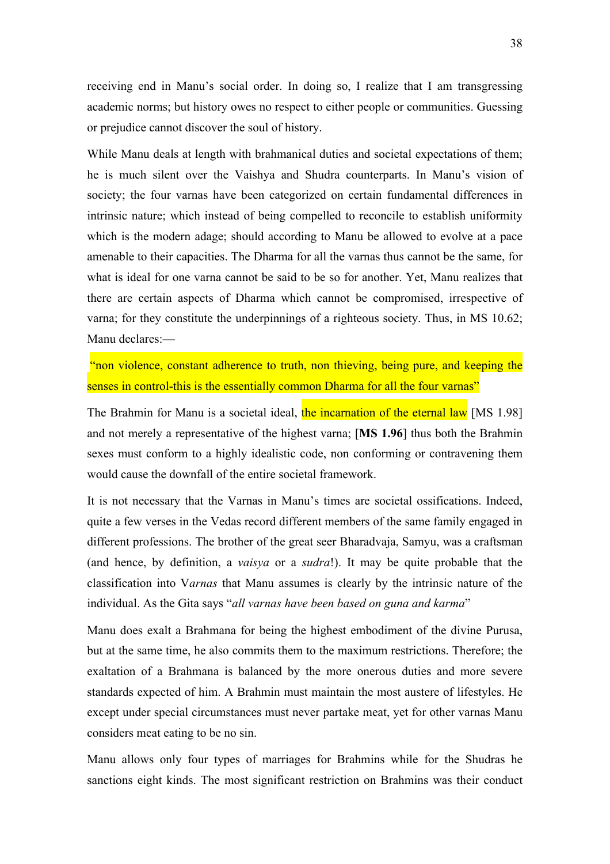receiving end in Manu's social order. In doing so, I realize that I am transgressing academic norms; but history owes no respect to either people or communities. Guessing or prejudice cannot discover the soul of history.

While Manu deals at length with brahmanical duties and societal expectations of them; he is much silent over the Vaishya and Shudra counterparts. In Manu's vision of society; the four varnas have been categorized on certain fundamental differences in intrinsic nature; which instead of being compelled to reconcile to establish uniformity which is the modern adage; should according to Manu be allowed to evolve at a pace amenable to their capacities. The Dharma for all the varnas thus cannot be the same, for what is ideal for one varna cannot be said to be so for another. Yet, Manu realizes that there are certain aspects of Dharma which cannot be compromised, irrespective of varna; for they constitute the underpinnings of a righteous society. Thus, in MS 10.62; Manu declares:—

"non violence, constant adherence to truth, non thieving, being pure, and keeping the senses in control-this is the essentially common Dharma for all the four varnas"

The Brahmin for Manu is a societal ideal, the incarnation of the eternal law [MS 1.98] and not merely a representative of the highest varna; [**MS 1.96**] thus both the Brahmin sexes must conform to a highly idealistic code, non conforming or contravening them would cause the downfall of the entire societal framework.

It is not necessary that the Varnas in Manu's times are societal ossifications. Indeed, quite a few verses in the Vedas record different members of the same family engaged in different professions. The brother of the great seer Bharadvaja, Samyu, was a craftsman (and hence, by definition, a *vaisya* or a *sudra*!). It may be quite probable that the classification into V*arnas* that Manu assumes is clearly by the intrinsic nature of the individual. As the Gita says "*all varnas have been based on guna and karma*"

Manu does exalt a Brahmana for being the highest embodiment of the divine Purusa, but at the same time, he also commits them to the maximum restrictions. Therefore; the exaltation of a Brahmana is balanced by the more onerous duties and more severe standards expected of him. A Brahmin must maintain the most austere of lifestyles. He except under special circumstances must never partake meat, yet for other varnas Manu considers meat eating to be no sin.

Manu allows only four types of marriages for Brahmins while for the Shudras he sanctions eight kinds. The most significant restriction on Brahmins was their conduct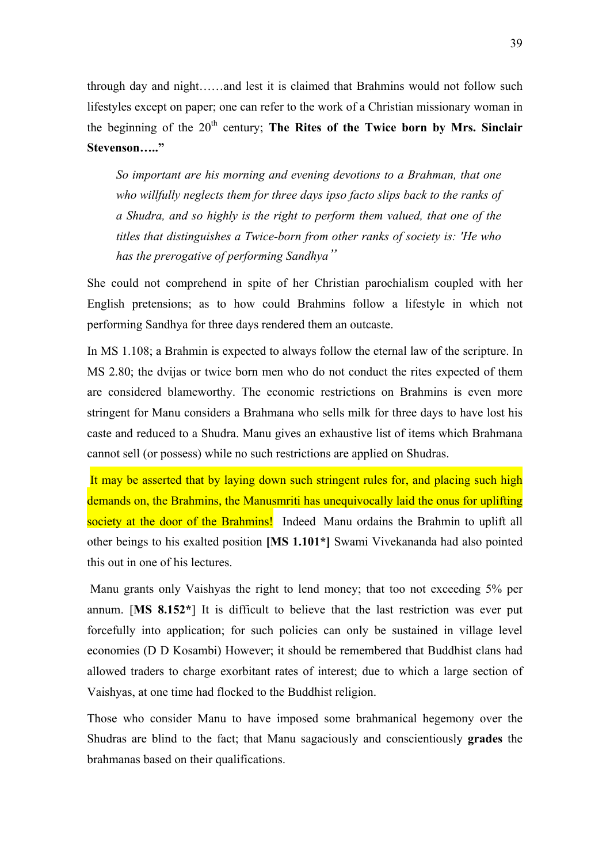through day and night……and lest it is claimed that Brahmins would not follow such lifestyles except on paper; one can refer to the work of a Christian missionary woman in the beginning of the 20<sup>th</sup> century; **The Rites of the Twice born by Mrs. Sinclair Stevenson….."**

*So important are his morning and evening devotions to a Brahman, that one who willfully neglects them for three days ipso facto slips back to the ranks of a Shudra, and so highly is the right to perform them valued, that one of the titles that distinguishes a Twice-born from other ranks of society is: 'He who has the prerogative of performing Sandhya"*

She could not comprehend in spite of her Christian parochialism coupled with her English pretensions; as to how could Brahmins follow a lifestyle in which not performing Sandhya for three days rendered them an outcaste.

In MS 1.108; a Brahmin is expected to always follow the eternal law of the scripture. In MS 2.80; the dvijas or twice born men who do not conduct the rites expected of them are considered blameworthy. The economic restrictions on Brahmins is even more stringent for Manu considers a Brahmana who sells milk for three days to have lost his caste and reduced to a Shudra. Manu gives an exhaustive list of items which Brahmana cannot sell (or possess) while no such restrictions are applied on Shudras.

It may be asserted that by laying down such stringent rules for, and placing such high demands on, the Brahmins, the Manusmriti has unequivocally laid the onus for uplifting society at the door of the Brahmins! Indeed Manu ordains the Brahmin to uplift all other beings to his exalted position **[MS 1.101\*]** Swami Vivekananda had also pointed this out in one of his lectures.

Manu grants only Vaishyas the right to lend money; that too not exceeding 5% per annum. [**MS 8.152\***] It is difficult to believe that the last restriction was ever put forcefully into application; for such policies can only be sustained in village level economies (D D Kosambi) However; it should be remembered that Buddhist clans had allowed traders to charge exorbitant rates of interest; due to which a large section of Vaishyas, at one time had flocked to the Buddhist religion.

Those who consider Manu to have imposed some brahmanical hegemony over the Shudras are blind to the fact; that Manu sagaciously and conscientiously **grades** the brahmanas based on their qualifications.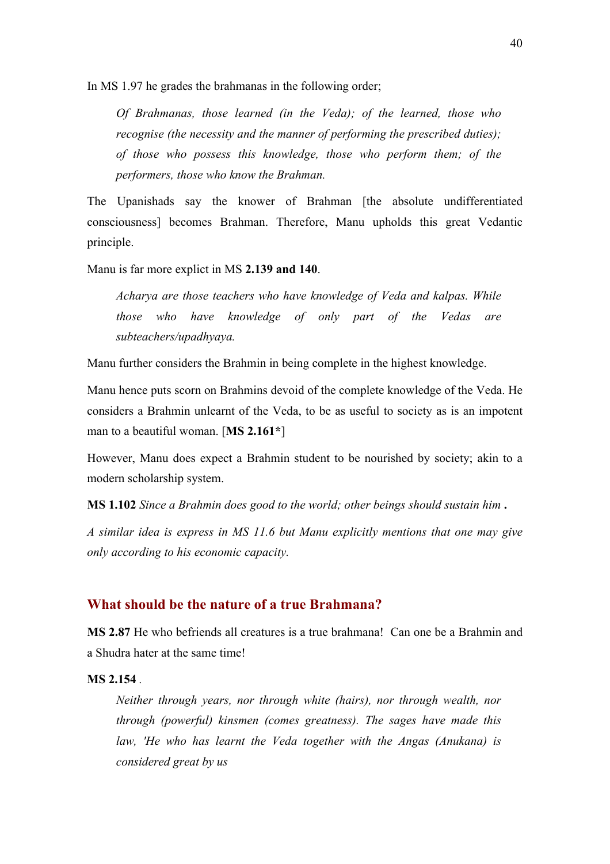In MS 1.97 he grades the brahmanas in the following order;

*Of Brahmanas, those learned (in the Veda); of the learned, those who recognise (the necessity and the manner of performing the prescribed duties); of those who possess this knowledge, those who perform them; of the performers, those who know the Brahman.*

The Upanishads say the knower of Brahman [the absolute undifferentiated consciousness] becomes Brahman. Therefore, Manu upholds this great Vedantic principle.

Manu is far more explict in MS **2.139 and 140**.

*Acharya are those teachers who have knowledge of Veda and kalpas. While those who have knowledge of only part of the Vedas are subteachers/upadhyaya.*

Manu further considers the Brahmin in being complete in the highest knowledge.

Manu hence puts scorn on Brahmins devoid of the complete knowledge of the Veda. He considers a Brahmin unlearnt of the Veda, to be as useful to society as is an impotent man to a beautiful woman. [**MS 2.161\***]

However, Manu does expect a Brahmin student to be nourished by society; akin to a modern scholarship system.

**MS 1.102** *Since a Brahmin does good to the world; other beings should sustain him* **.**

*A similar idea is express in MS 11.6 but Manu explicitly mentions that one may give only according to his economic capacity.*

## **What should be the nature of a true Brahmana?**

**MS 2.87** He who befriends all creatures is a true brahmana! Can one be a Brahmin and a Shudra hater at the same time!

#### **MS 2.154** *.*

*Neither through years, nor through white (hairs), nor through wealth, nor through (powerful) kinsmen (comes greatness). The sages have made this law, 'He who has learnt the Veda together with the Angas (Anukana) is considered great by us*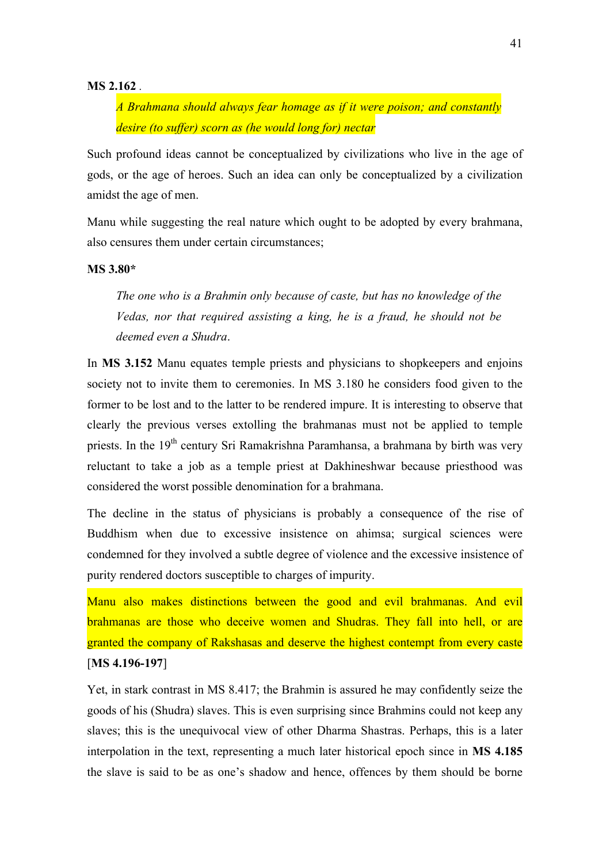#### **MS 2.162** *.*

*A Brahmana should always fear homage as if it were poison; and constantly desire (to suffer) scorn as (he would long for) nectar*

Such profound ideas cannot be conceptualized by civilizations who live in the age of gods, or the age of heroes. Such an idea can only be conceptualized by a civilization amidst the age of men.

Manu while suggesting the real nature which ought to be adopted by every brahmana, also censures them under certain circumstances;

#### **MS 3.80\***

*The one who is a Brahmin only because of caste, but has no knowledge of the Vedas, nor that required assisting a king, he is a fraud, he should not be deemed even a Shudra*.

In **MS 3.152** Manu equates temple priests and physicians to shopkeepers and enjoins society not to invite them to ceremonies. In MS 3.180 he considers food given to the former to be lost and to the latter to be rendered impure. It is interesting to observe that clearly the previous verses extolling the brahmanas must not be applied to temple priests. In the  $19<sup>th</sup>$  century Sri Ramakrishna Paramhansa, a brahmana by birth was very reluctant to take a job as a temple priest at Dakhineshwar because priesthood was considered the worst possible denomination for a brahmana.

The decline in the status of physicians is probably a consequence of the rise of Buddhism when due to excessive insistence on ahimsa; surgical sciences were condemned for they involved a subtle degree of violence and the excessive insistence of purity rendered doctors susceptible to charges of impurity.

Manu also makes distinctions between the good and evil brahmanas. And evil brahmanas are those who deceive women and Shudras. They fall into hell, or are granted the company of Rakshasas and deserve the highest contempt from every caste [**MS 4.196-197**]

Yet, in stark contrast in MS 8.417; the Brahmin is assured he may confidently seize the goods of his (Shudra) slaves. This is even surprising since Brahmins could not keep any slaves; this is the unequivocal view of other Dharma Shastras. Perhaps, this is a later interpolation in the text, representing a much later historical epoch since in **MS 4.185** the slave is said to be as one's shadow and hence, offences by them should be borne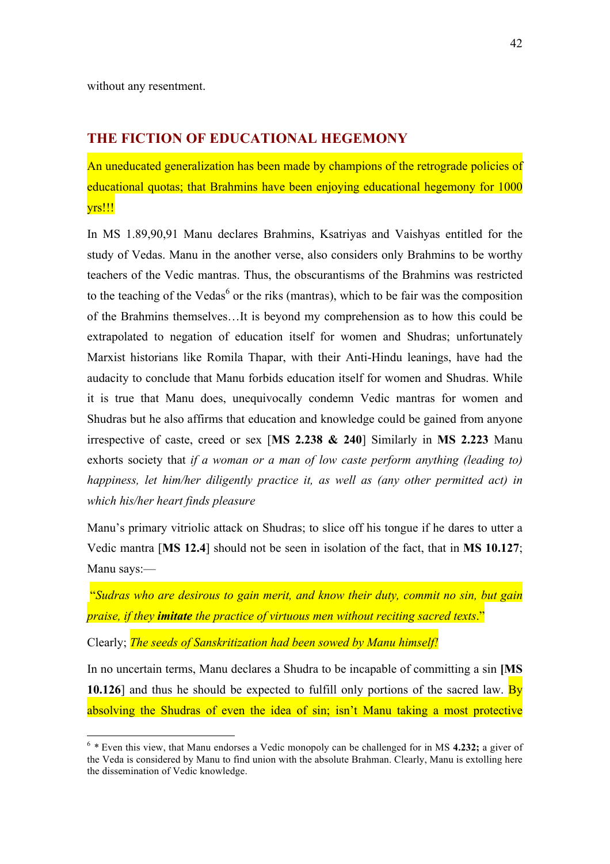## **THE FICTION OF EDUCATIONAL HEGEMONY**

An uneducated generalization has been made by champions of the retrograde policies of educational quotas; that Brahmins have been enjoying educational hegemony for 1000 yrs!!!

In MS 1.89,90,91 Manu declares Brahmins, Ksatriyas and Vaishyas entitled for the study of Vedas. Manu in the another verse, also considers only Brahmins to be worthy teachers of the Vedic mantras. Thus, the obscurantisms of the Brahmins was restricted to the teaching of the Vedas<sup>6</sup> or the riks (mantras), which to be fair was the composition of the Brahmins themselves…It is beyond my comprehension as to how this could be extrapolated to negation of education itself for women and Shudras; unfortunately Marxist historians like Romila Thapar, with their Anti-Hindu leanings, have had the audacity to conclude that Manu forbids education itself for women and Shudras. While it is true that Manu does, unequivocally condemn Vedic mantras for women and Shudras but he also affirms that education and knowledge could be gained from anyone irrespective of caste, creed or sex [**MS 2.238 & 240**] Similarly in **MS 2.223** Manu exhorts society that *if a woman or a man of low caste perform anything (leading to) happiness, let him/her diligently practice it, as well as (any other permitted act) in which his/her heart finds pleasure*

Manu's primary vitriolic attack on Shudras; to slice off his tongue if he dares to utter a Vedic mantra [**MS 12.4**] should not be seen in isolation of the fact, that in **MS 10.127**; Manu says:—

"*Sudras who are desirous to gain merit, and know their duty, commit no sin, but gain praise, if they imitate the practice of virtuous men without reciting sacred texts*."

Clearly; *The seeds of Sanskritization had been sowed by Manu himself!*

In no uncertain terms, Manu declares a Shudra to be incapable of committing a sin **[MS 10.126**] and thus he should be expected to fulfill only portions of the sacred law. By absolving the Shudras of even the idea of sin; isn't Manu taking a most protective

 <sup>6</sup> *\** Even this view, that Manu endorses a Vedic monopoly can be challenged for in MS **4.232;** a giver of the Veda is considered by Manu to find union with the absolute Brahman. Clearly, Manu is extolling here the dissemination of Vedic knowledge.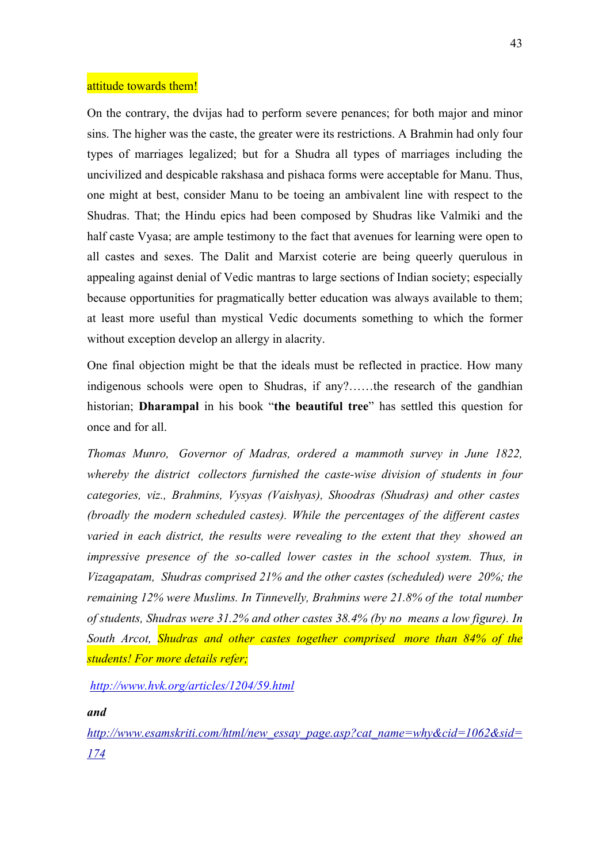#### attitude towards them!

On the contrary, the dvijas had to perform severe penances; for both major and minor sins. The higher was the caste, the greater were its restrictions. A Brahmin had only four types of marriages legalized; but for a Shudra all types of marriages including the uncivilized and despicable rakshasa and pishaca forms were acceptable for Manu. Thus, one might at best, consider Manu to be toeing an ambivalent line with respect to the Shudras. That; the Hindu epics had been composed by Shudras like Valmiki and the half caste Vyasa; are ample testimony to the fact that avenues for learning were open to all castes and sexes. The Dalit and Marxist coterie are being queerly querulous in appealing against denial of Vedic mantras to large sections of Indian society; especially because opportunities for pragmatically better education was always available to them; at least more useful than mystical Vedic documents something to which the former without exception develop an allergy in alacrity.

One final objection might be that the ideals must be reflected in practice. How many indigenous schools were open to Shudras, if any?……the research of the gandhian historian; **Dharampal** in his book "**the beautiful tree**" has settled this question for once and for all.

*Thomas Munro, Governor of Madras, ordered a mammoth survey in June 1822, whereby the district collectors furnished the caste-wise division of students in four categories, viz., Brahmins, Vysyas (Vaishyas), Shoodras (Shudras) and other castes (broadly the modern scheduled castes). While the percentages of the different castes varied in each district, the results were revealing to the extent that they showed an impressive presence of the so-called lower castes in the school system. Thus, in Vizagapatam, Shudras comprised 21% and the other castes (scheduled) were 20%; the remaining 12% were Muslims. In Tinnevelly, Brahmins were 21.8% of the total number of students, Shudras were 31.2% and other castes 38.4% (by no means a low figure). In South Arcot, Shudras and other castes together comprised more than 84% of the students! For more details refer;*

*http://www.hvk.org/articles/1204/59.html*

*and* 

*http://www.esamskriti.com/html/new\_essay\_page.asp?cat\_name=why&cid=1062&sid= 174*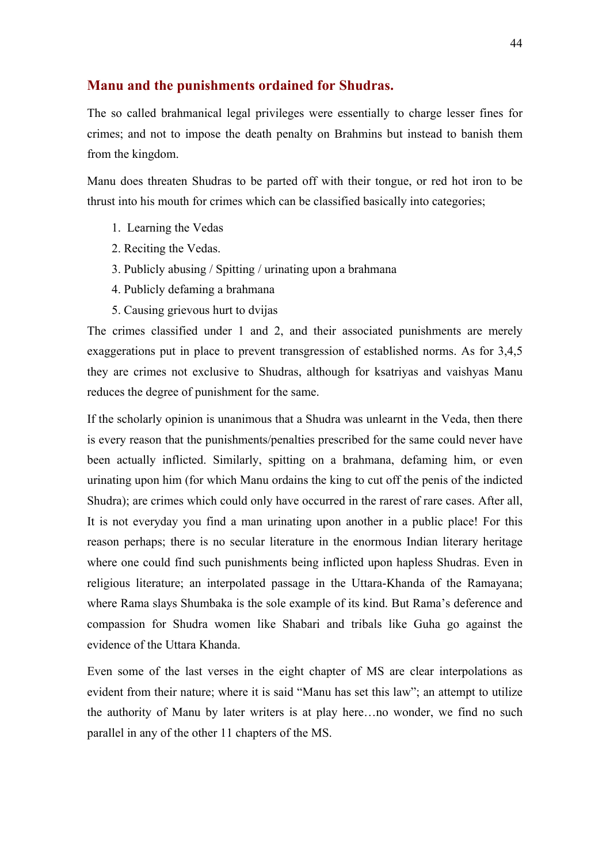# **Manu and the punishments ordained for Shudras.**

The so called brahmanical legal privileges were essentially to charge lesser fines for crimes; and not to impose the death penalty on Brahmins but instead to banish them from the kingdom.

Manu does threaten Shudras to be parted off with their tongue, or red hot iron to be thrust into his mouth for crimes which can be classified basically into categories;

- 1. Learning the Vedas
- 2. Reciting the Vedas.
- 3. Publicly abusing / Spitting / urinating upon a brahmana
- 4. Publicly defaming a brahmana
- 5. Causing grievous hurt to dvijas

The crimes classified under 1 and 2, and their associated punishments are merely exaggerations put in place to prevent transgression of established norms. As for 3,4,5 they are crimes not exclusive to Shudras, although for ksatriyas and vaishyas Manu reduces the degree of punishment for the same.

If the scholarly opinion is unanimous that a Shudra was unlearnt in the Veda, then there is every reason that the punishments/penalties prescribed for the same could never have been actually inflicted. Similarly, spitting on a brahmana, defaming him, or even urinating upon him (for which Manu ordains the king to cut off the penis of the indicted Shudra); are crimes which could only have occurred in the rarest of rare cases. After all, It is not everyday you find a man urinating upon another in a public place! For this reason perhaps; there is no secular literature in the enormous Indian literary heritage where one could find such punishments being inflicted upon hapless Shudras. Even in religious literature; an interpolated passage in the Uttara-Khanda of the Ramayana; where Rama slays Shumbaka is the sole example of its kind. But Rama's deference and compassion for Shudra women like Shabari and tribals like Guha go against the evidence of the Uttara Khanda.

Even some of the last verses in the eight chapter of MS are clear interpolations as evident from their nature; where it is said "Manu has set this law"; an attempt to utilize the authority of Manu by later writers is at play here…no wonder, we find no such parallel in any of the other 11 chapters of the MS.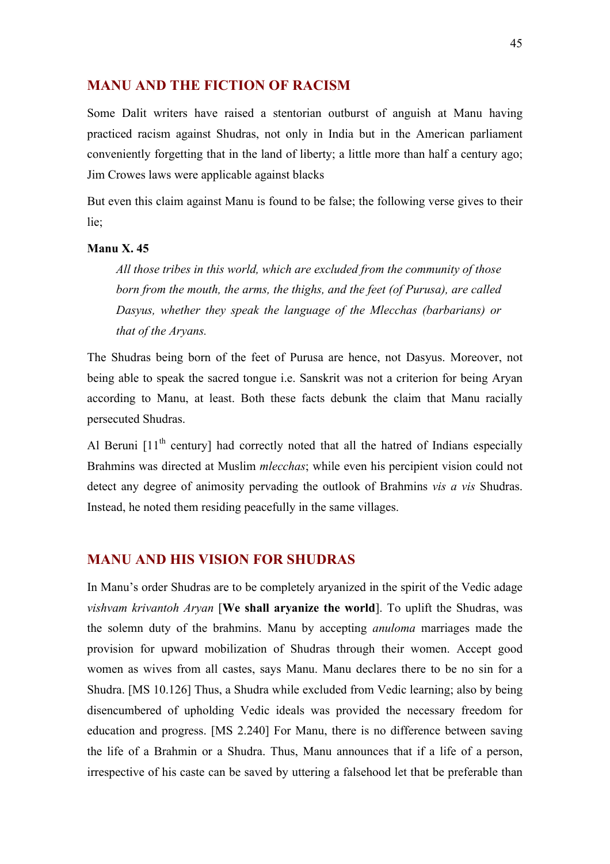# **MANU AND THE FICTION OF RACISM**

Some Dalit writers have raised a stentorian outburst of anguish at Manu having practiced racism against Shudras, not only in India but in the American parliament conveniently forgetting that in the land of liberty; a little more than half a century ago; Jim Crowes laws were applicable against blacks

But even this claim against Manu is found to be false; the following verse gives to their lie;

#### **Manu X. 45**

*All those tribes in this world, which are excluded from the community of those born from the mouth, the arms, the thighs, and the feet (of Purusa), are called Dasyus, whether they speak the language of the Mlecchas (barbarians) or that of the Aryans.*

The Shudras being born of the feet of Purusa are hence, not Dasyus. Moreover, not being able to speak the sacred tongue i.e. Sanskrit was not a criterion for being Aryan according to Manu, at least. Both these facts debunk the claim that Manu racially persecuted Shudras.

Al Beruni  $[11<sup>th</sup>$  century] had correctly noted that all the hatred of Indians especially Brahmins was directed at Muslim *mlecchas*; while even his percipient vision could not detect any degree of animosity pervading the outlook of Brahmins *vis a vis* Shudras. Instead, he noted them residing peacefully in the same villages.

# **MANU AND HIS VISION FOR SHUDRAS**

In Manu's order Shudras are to be completely aryanized in the spirit of the Vedic adage *vishvam krivantoh Aryan* [**We shall aryanize the world**]. To uplift the Shudras, was the solemn duty of the brahmins. Manu by accepting *anuloma* marriages made the provision for upward mobilization of Shudras through their women. Accept good women as wives from all castes, says Manu. Manu declares there to be no sin for a Shudra. [MS 10.126] Thus, a Shudra while excluded from Vedic learning; also by being disencumbered of upholding Vedic ideals was provided the necessary freedom for education and progress. [MS 2.240] For Manu, there is no difference between saving the life of a Brahmin or a Shudra. Thus, Manu announces that if a life of a person, irrespective of his caste can be saved by uttering a falsehood let that be preferable than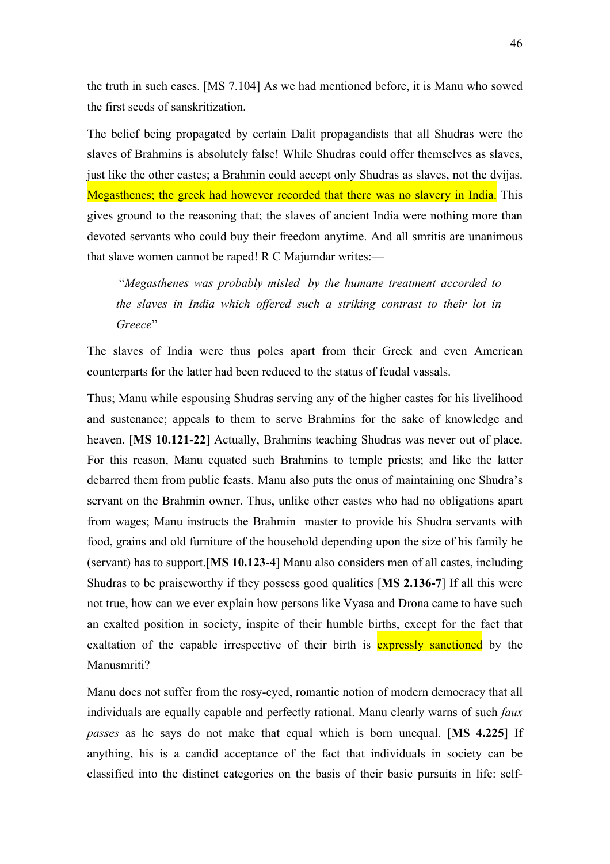the truth in such cases. [MS 7.104] As we had mentioned before, it is Manu who sowed the first seeds of sanskritization.

The belief being propagated by certain Dalit propagandists that all Shudras were the slaves of Brahmins is absolutely false! While Shudras could offer themselves as slaves, just like the other castes; a Brahmin could accept only Shudras as slaves, not the dvijas. Megasthenes; the greek had however recorded that there was no slavery in India. This gives ground to the reasoning that; the slaves of ancient India were nothing more than devoted servants who could buy their freedom anytime. And all smritis are unanimous that slave women cannot be raped! R C Majumdar writes:—

 "*Megasthenes was probably misled by the humane treatment accorded to the slaves in India which offered such a striking contrast to their lot in Greece*"

The slaves of India were thus poles apart from their Greek and even American counterparts for the latter had been reduced to the status of feudal vassals.

Thus; Manu while espousing Shudras serving any of the higher castes for his livelihood and sustenance; appeals to them to serve Brahmins for the sake of knowledge and heaven. [**MS 10.121-22**] Actually, Brahmins teaching Shudras was never out of place. For this reason, Manu equated such Brahmins to temple priests; and like the latter debarred them from public feasts. Manu also puts the onus of maintaining one Shudra's servant on the Brahmin owner. Thus, unlike other castes who had no obligations apart from wages; Manu instructs the Brahmin master to provide his Shudra servants with food, grains and old furniture of the household depending upon the size of his family he (servant) has to support.[**MS 10.123-4**] Manu also considers men of all castes, including Shudras to be praiseworthy if they possess good qualities [**MS 2.136-7**] If all this were not true, how can we ever explain how persons like Vyasa and Drona came to have such an exalted position in society, inspite of their humble births, except for the fact that exaltation of the capable irrespective of their birth is expressly sanctioned by the Manusmriti?

Manu does not suffer from the rosy-eyed, romantic notion of modern democracy that all individuals are equally capable and perfectly rational. Manu clearly warns of such *faux passes* as he says do not make that equal which is born unequal. [**MS 4.225**] If anything, his is a candid acceptance of the fact that individuals in society can be classified into the distinct categories on the basis of their basic pursuits in life: self-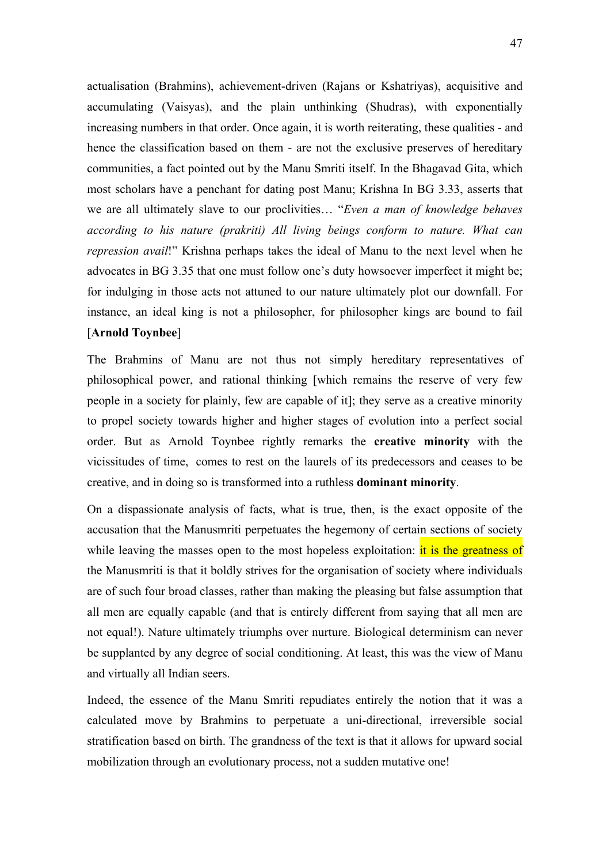actualisation (Brahmins), achievement-driven (Rajans or Kshatriyas), acquisitive and accumulating (Vaisyas), and the plain unthinking (Shudras), with exponentially increasing numbers in that order. Once again, it is worth reiterating, these qualities - and hence the classification based on them - are not the exclusive preserves of hereditary communities, a fact pointed out by the Manu Smriti itself. In the Bhagavad Gita, which most scholars have a penchant for dating post Manu; Krishna In BG 3.33, asserts that we are all ultimately slave to our proclivities… "*Even a man of knowledge behaves according to his nature (prakriti) All living beings conform to nature. What can repression avail*!" Krishna perhaps takes the ideal of Manu to the next level when he advocates in BG 3.35 that one must follow one's duty howsoever imperfect it might be; for indulging in those acts not attuned to our nature ultimately plot our downfall. For instance, an ideal king is not a philosopher, for philosopher kings are bound to fail [**Arnold Toynbee**]

The Brahmins of Manu are not thus not simply hereditary representatives of philosophical power, and rational thinking [which remains the reserve of very few people in a society for plainly, few are capable of it]; they serve as a creative minority to propel society towards higher and higher stages of evolution into a perfect social order. But as Arnold Toynbee rightly remarks the **creative minority** with the vicissitudes of time, comes to rest on the laurels of its predecessors and ceases to be creative, and in doing so is transformed into a ruthless **dominant minority**.

On a dispassionate analysis of facts, what is true, then, is the exact opposite of the accusation that the Manusmriti perpetuates the hegemony of certain sections of society while leaving the masses open to the most hopeless exploitation: it is the greatness of the Manusmriti is that it boldly strives for the organisation of society where individuals are of such four broad classes, rather than making the pleasing but false assumption that all men are equally capable (and that is entirely different from saying that all men are not equal!). Nature ultimately triumphs over nurture. Biological determinism can never be supplanted by any degree of social conditioning. At least, this was the view of Manu and virtually all Indian seers.

Indeed, the essence of the Manu Smriti repudiates entirely the notion that it was a calculated move by Brahmins to perpetuate a uni-directional, irreversible social stratification based on birth. The grandness of the text is that it allows for upward social mobilization through an evolutionary process, not a sudden mutative one!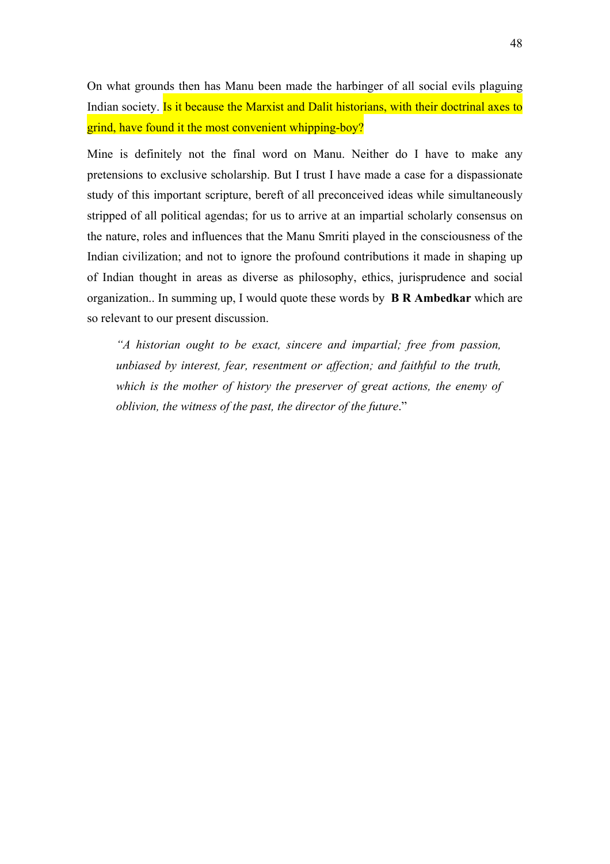On what grounds then has Manu been made the harbinger of all social evils plaguing Indian society. Is it because the Marxist and Dalit historians, with their doctrinal axes to grind, have found it the most convenient whipping-boy?

Mine is definitely not the final word on Manu. Neither do I have to make any pretensions to exclusive scholarship. But I trust I have made a case for a dispassionate study of this important scripture, bereft of all preconceived ideas while simultaneously stripped of all political agendas; for us to arrive at an impartial scholarly consensus on the nature, roles and influences that the Manu Smriti played in the consciousness of the Indian civilization; and not to ignore the profound contributions it made in shaping up of Indian thought in areas as diverse as philosophy, ethics, jurisprudence and social organization.. In summing up, I would quote these words by **B R Ambedkar** which are so relevant to our present discussion.

*"A historian ought to be exact, sincere and impartial; free from passion, unbiased by interest, fear, resentment or affection; and faithful to the truth, which is the mother of history the preserver of great actions, the enemy of oblivion, the witness of the past, the director of the future*."